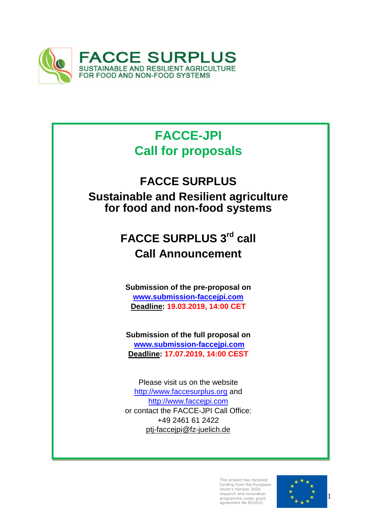

# **FACCE-JPI Call for proposals**

# **FACCE SURPLUS**

**Sustainable and Resilient agriculture for food and non-food systems**

# **FACCE SURPLUS 3rd call Call Announcement**

**Submission of the pre-proposal on [www.submission-faccejpi.com](http://www.submission-faccejpi.com/) Deadline: 19.03.2019, 14:00 CET**

**Submission of the full proposal on [www.submission-faccejpi.com](http://www.submission-faccejpi.com/) Deadline: 17.07.2019, 14:00 CEST**

Please visit us on the website [http://www.faccesurplus.org](http://www.faccesurplus.org/) and [http://www.faccejpi.com](http://www.faccejpi.com/) or contact the FACCE-JPI Call Office: +49 2461 61 2422 [ptj-faccejpi@fz-juelich.de](mailto:ptj-faccejpi@fz-juelich.de)

> This project has received funding from the European Union's Horizon 2020 research and innovation programme under grant agreement No 652615.

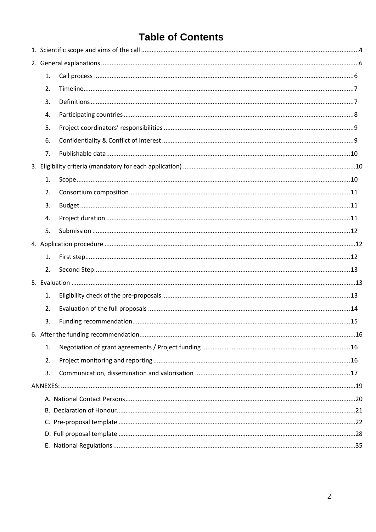## **Table of Contents**

| 1. |  |
|----|--|
| 2. |  |
| 3. |  |
| 4. |  |
| 5. |  |
| 6. |  |
| 7. |  |
|    |  |
| 1. |  |
| 2. |  |
| 3. |  |
| 4. |  |
| 5. |  |
|    |  |
| 1. |  |
| 2. |  |
|    |  |
| 1. |  |
| 2. |  |
| 3. |  |
|    |  |
| 1. |  |
| 2. |  |
| 3. |  |
|    |  |
|    |  |
|    |  |
|    |  |
|    |  |
|    |  |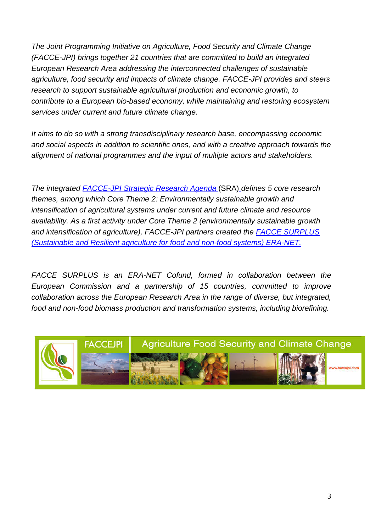*The Joint Programming Initiative on Agriculture, Food Security and Climate Change (FACCE-JPI) brings together 21 countries that are committed to build an integrated European Research Area addressing the interconnected challenges of sustainable agriculture, food security and impacts of climate change. FACCE-JPI provides and steers research to support sustainable agricultural production and economic growth, to contribute to a European bio-based economy, while maintaining and restoring ecosystem services under current and future climate change.* 

*It aims to do so with a strong transdisciplinary research base, encompassing economic and social aspects in addition to scientific ones, and with a creative approach towards the alignment of national programmes and the input of multiple actors and stakeholders.*

*The integrated [FACCE-JPI Strategic Research Agenda](http://www.faccejpi.com/Strategic-Research-Agenda)* (SRA) *defines 5 core research themes, among which Core Theme 2: Environmentally sustainable growth and intensification of agricultural systems under current and future climate and resource availability. As a first activity under Core Theme 2 (environmentally sustainable growth and intensification of agriculture), FACCE-JPI partners created the [FACCE SURPLUS](http://faccesurplus.org/)  [\(Sustainable and Resilient agriculture for food and non-food](http://faccesurplus.org/) systems) ERA-NET.*

*FACCE SURPLUS is an ERA-NET Cofund, formed in collaboration between the European Commission and a partnership of 15 countries, committed to improve collaboration across the European Research Area in the range of diverse, but integrated, food and non-food biomass production and transformation systems, including biorefining.*

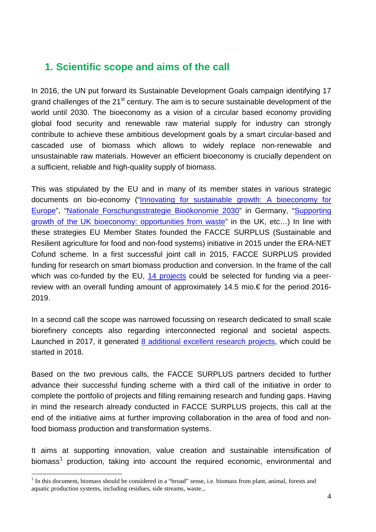## <span id="page-3-2"></span><span id="page-3-0"></span>**1. Scientific scope and aims of the call**

In 2016, the UN put forward its Sustainable Development Goals campaign identifying 17 grand challenges of the 21<sup>st</sup> century. The aim is to secure sustainable development of the world until 2030. The bioeconomy as a vision of a circular based economy providing global food security and renewable raw material supply for industry can strongly contribute to achieve these ambitious development goals by a smart circular-based and cascaded use of biomass which allows to widely replace non-renewable and unsustainable raw materials. However an efficient bioeconomy is crucially dependent on a sufficient, reliable and high-quality supply of biomass.

This was stipulated by the EU and in many of its member states in various strategic documents on bio-economy (["Innovating for sustainable growth: A bioeconomy for](https://ec.europa.eu/research/bioeconomy/index.cfm?pg=policy&lib=strategy)  [Europe"](https://ec.europa.eu/research/bioeconomy/index.cfm?pg=policy&lib=strategy), ["Nationale Forschungsstrategie Bioökonomie 2030"](https://www.bmbf.de/pub/Nationale_Forschungsstrategie_Biooekonomie_2030.pdf) in Germany, ["Supporting](https://www.gov.uk/government/publications/supporting-growth-of-the-uk-bioeconomy-opportunities-from-waste)  [growth of the UK bioeconomy: opportunities from waste"](https://www.gov.uk/government/publications/supporting-growth-of-the-uk-bioeconomy-opportunities-from-waste) in the UK, etc…) In line with these strategies EU Member States founded the FACCE SURPLUS (Sustainable and Resilient agriculture for food and non-food systems) initiative in 2015 under the ERA-NET Cofund scheme. In a first successful joint call in 2015, FACCE SURPLUS provided funding for research on smart biomass production and conversion. In the frame of the call which was co-funded by the EU, [14 projects](http://faccesurplus.org/research-projects-1st-call/) could be selected for funding via a peerreview with an overall funding amount of approximately 14.5 mio.€ for the period 2016- 2019.

In a second call the scope was narrowed focussing on research dedicated to small scale biorefinery concepts also regarding interconnected regional and societal aspects. Launched in 2017, it generated [8 additional excellent research projects,](http://faccesurplus.org/research-projects-2nd-call/) which could be started in 2018.

Based on the two previous calls, the FACCE SURPLUS partners decided to further advance their successful funding scheme with a third call of the initiative in order to complete the portfolio of projects and filling remaining research and funding gaps. Having in mind the research already conducted in FACCE SURPLUS projects, this call at the end of the initiative aims at further improving collaboration in the area of food and nonfood biomass production and transformation systems.

It aims at supporting innovation, value creation and sustainable intensification of biomass<sup>[1](#page-3-1)</sup> production, taking into account the required economic, environmental and

 $\overline{a}$ 

<span id="page-3-1"></span> $1$  In this document, biomass should be considered in a "broad" sense, i.e. biomass from plant, animal, forests and aquatic production systems, including residues, side streams, waste...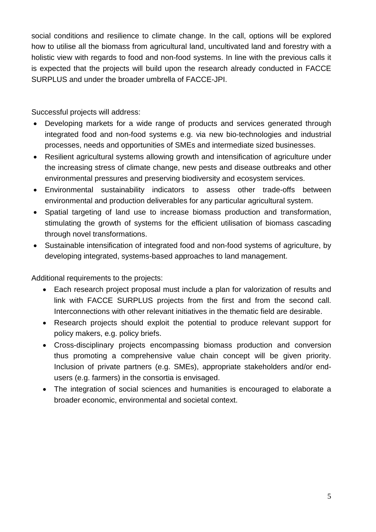social conditions and resilience to climate change. In the call, options will be explored how to utilise all the biomass from agricultural land, uncultivated land and forestry with a holistic view with regards to food and non-food systems. In line with the previous calls it is expected that the projects will build upon the research already conducted in FACCE SURPLUS and under the broader umbrella of FACCE-JPI.

Successful projects will address:

- Developing markets for a wide range of products and services generated through integrated food and non-food systems e.g. via new bio-technologies and industrial processes, needs and opportunities of SMEs and intermediate sized businesses.
- Resilient agricultural systems allowing growth and intensification of agriculture under the increasing stress of climate change, new pests and disease outbreaks and other environmental pressures and preserving biodiversity and ecosystem services.
- Environmental sustainability indicators to assess other trade-offs between environmental and production deliverables for any particular agricultural system.
- Spatial targeting of land use to increase biomass production and transformation, stimulating the growth of systems for the efficient utilisation of biomass cascading through novel transformations.
- Sustainable intensification of integrated food and non-food systems of agriculture, by developing integrated, systems-based approaches to land management.

Additional requirements to the projects:

- Each research project proposal must include a plan for valorization of results and link with FACCE SURPLUS projects from the first and from the second call. Interconnections with other relevant initiatives in the thematic field are desirable.
- Research projects should exploit the potential to produce relevant support for policy makers, e.g. policy briefs.
- Cross-disciplinary projects encompassing biomass production and conversion thus promoting a comprehensive value chain concept will be given priority. Inclusion of private partners (e.g. SMEs), appropriate stakeholders and/or endusers (e.g. farmers) in the consortia is envisaged.
- The integration of social sciences and humanities is encouraged to elaborate a broader economic, environmental and societal context.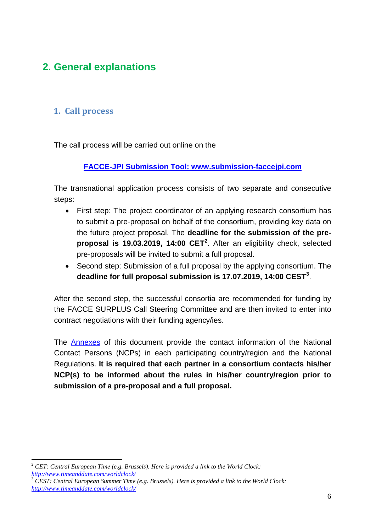## <span id="page-5-0"></span>**2. General explanations**

### <span id="page-5-1"></span>**1. Call process**

The call process will be carried out online on the

#### **[FACCE-JPI Submission Tool:](http://www.submission-faccejpi.com/) www.submission-faccejpi.com**

The transnational application process consists of two separate and consecutive steps:

- First step: The project coordinator of an applying research consortium has to submit a pre-proposal on behalf of the consortium, providing key data on the future project proposal. The **deadline for the submission of the preproposal is 19.03.2019, 14:00 CET[2](#page-5-2)** . After an eligibility check, selected pre-proposals will be invited to submit a full proposal.
- Second step: Submission of a full proposal by the applying consortium. The **deadline for full proposal submission is 17.07.2019, 14:00 CEST[3](#page-5-3)** .

After the second step, the successful consortia are recommended for funding by the FACCE SURPLUS Call Steering Committee and are then invited to enter into contract negotiations with their funding agency/ies.

The [Annexes](#page-19-1) of this document provide the contact information of the National Contact Persons (NCPs) in each participating country/region and the National Regulations. **It is required that each partner in a consortium contacts his/her NCP(s) to be informed about the rules in his/her country/region prior to submission of a pre-proposal and a full proposal.**

 $\overline{a}$ 

<span id="page-5-2"></span><sup>2</sup> *CET: Central European Time (e.g. Brussels). Here is provided a link to the World Clock: <http://www.timeanddate.com/worldclock/>*

<span id="page-5-3"></span><sup>3</sup> *CEST: Central European Summer Time (e.g. Brussels). Here is provided a link to the World Clock: <http://www.timeanddate.com/worldclock/>*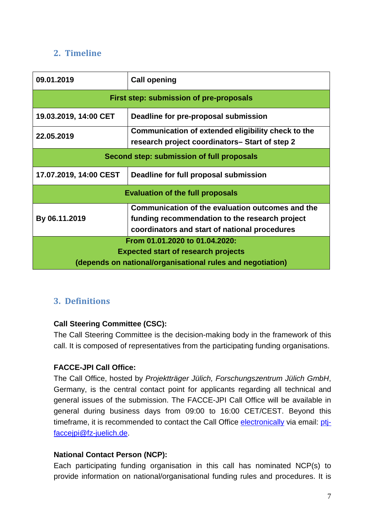### <span id="page-6-0"></span>**2. Timeline**

| 09.01.2019                                | <b>Call opening</b>                                                                                                                                 |  |  |  |  |  |  |  |
|-------------------------------------------|-----------------------------------------------------------------------------------------------------------------------------------------------------|--|--|--|--|--|--|--|
| First step: submission of pre-proposals   |                                                                                                                                                     |  |  |  |  |  |  |  |
| 19.03.2019, 14:00 CET                     | Deadline for pre-proposal submission                                                                                                                |  |  |  |  |  |  |  |
| 22.05.2019                                | Communication of extended eligibility check to the<br>research project coordinators– Start of step 2                                                |  |  |  |  |  |  |  |
| Second step: submission of full proposals |                                                                                                                                                     |  |  |  |  |  |  |  |
| 17.07.2019, 14:00 CEST                    | Deadline for full proposal submission                                                                                                               |  |  |  |  |  |  |  |
|                                           | <b>Evaluation of the full proposals</b>                                                                                                             |  |  |  |  |  |  |  |
| By 06.11.2019                             | Communication of the evaluation outcomes and the<br>funding recommendation to the research project<br>coordinators and start of national procedures |  |  |  |  |  |  |  |
|                                           | From 01.01.2020 to 01.04.2020:<br><b>Expected start of research projects</b>                                                                        |  |  |  |  |  |  |  |
|                                           | (depends on national/organisational rules and negotiation)                                                                                          |  |  |  |  |  |  |  |

### <span id="page-6-1"></span>**3. Definitions**

### **Call Steering Committee (CSC):**

The Call Steering Committee is the decision-making body in the framework of this call. It is composed of representatives from the participating funding organisations.

### **FACCE-JPI Call Office:**

The Call Office, hosted by *Projektträger Jülich, Forschungszentrum Jülich GmbH*, Germany, is the central contact point for applicants regarding all technical and general issues of the submission. The FACCE-JPI Call Office will be available in general during business days from 09:00 to 16:00 CET/CEST. Beyond this timeframe, it is recommended to contact the Call Office [electronically](mailto:ptj-faccejpi@fz-juelich.de) via email: [ptj](mailto:ptj-faccejpi@fz-juelich.de)[faccejpi@fz-juelich.de.](mailto:ptj-faccejpi@fz-juelich.de)

### **National Contact Person (NCP):**

Each participating funding organisation in this call has nominated NCP(s) to provide information on national/organisational funding rules and procedures. It is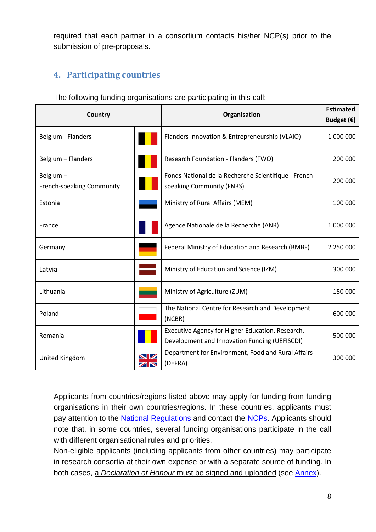required that each partner in a consortium contacts his/her NCP(s) prior to the submission of pre-proposals.

## <span id="page-7-1"></span><span id="page-7-0"></span>**4. Participating countries**

| Country                               |                                                | Organisation                                                                                      | <b>Estimated</b><br>Budget $(\epsilon)$ |
|---------------------------------------|------------------------------------------------|---------------------------------------------------------------------------------------------------|-----------------------------------------|
| Belgium - Flanders                    |                                                | Flanders Innovation & Entrepreneurship (VLAIO)                                                    | 1 000 000                               |
| Belgium - Flanders                    |                                                | Research Foundation - Flanders (FWO)                                                              | 200 000                                 |
| Belgium-<br>French-speaking Community |                                                | Fonds National de la Recherche Scientifique - French-<br>speaking Community (FNRS)                | 200 000                                 |
| Estonia                               |                                                | Ministry of Rural Affairs (MEM)                                                                   | 100 000                                 |
| France                                |                                                | Agence Nationale de la Recherche (ANR)                                                            | 1 000 000                               |
| Germany                               |                                                | Federal Ministry of Education and Research (BMBF)                                                 | 2 250 000                               |
| Latvia                                |                                                | Ministry of Education and Science (IZM)                                                           | 300 000                                 |
| Lithuania                             |                                                | Ministry of Agriculture (ZUM)                                                                     | 150 000                                 |
| Poland                                |                                                | The National Centre for Research and Development<br>(NCBR)                                        | 600 000                                 |
| Romania                               |                                                | Executive Agency for Higher Education, Research,<br>Development and Innovation Funding (UEFISCDI) | 500 000                                 |
| United Kingdom                        | <b>NZ</b><br>$\overline{\mathbb{Z}}\mathbb{N}$ | Department for Environment, Food and Rural Affairs<br>(DEFRA)                                     | 300 000                                 |

The following funding organisations are participating in this call:

Applicants from countries/regions listed above may apply for funding from funding organisations in their own countries/regions. In these countries, applicants must pay attention to the [National Regulations](#page-34-0) and contact the [NCPs.](#page-19-1) Applicants should note that, in some countries, several funding organisations participate in the call with different organisational rules and priorities.

Non-eligible applicants (including applicants from other countries) may participate in research consortia at their own expense or with a separate source of funding. In both cases, a *Declaration of Honour* must be signed and uploaded (see [Annex\)](#page-20-0).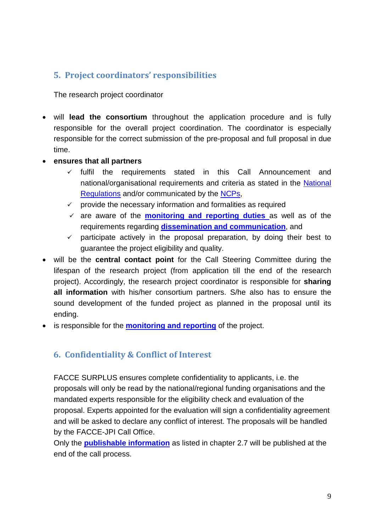### <span id="page-8-0"></span>**5. Project coordinators' responsibilities**

The research project coordinator

- will **lead the consortium** throughout the application procedure and is fully responsible for the overall project coordination. The coordinator is especially responsible for the correct submission of the pre-proposal and full proposal in due time.
- **ensures that all partners** 
	- $\checkmark$  fulfil the requirements stated in this Call Announcement and national/organisational requirements and criteria as stated in the [National](#page-34-0)  [Regulations](#page-34-0) and/or communicated by the [NCPs,](#page-19-1)
	- $\checkmark$  provide the necessary information and formalities as required
	- are aware of the **[monitoring and reporting](#page-15-2) duties** as well as of the requirements regarding **[dissemination and communication](#page-16-0)**, and
	- $\checkmark$  participate actively in the proposal preparation, by doing their best to guarantee the project eligibility and quality.
- will be the **central contact point** for the Call Steering Committee during the lifespan of the research project (from application till the end of the research project). Accordingly, the research project coordinator is responsible for **sharing all information** with his/her consortium partners. S/he also has to ensure the sound development of the funded project as planned in the proposal until its ending.
- <span id="page-8-1"></span>• is responsible for the **[monitoring and reporting](#page-15-2)** of the project.

### **6. Confidentiality & Conflict of Interest**

FACCE SURPLUS ensures complete confidentiality to applicants, i.e. the proposals will only be read by the national/regional funding organisations and the mandated experts responsible for the eligibility check and evaluation of the proposal. Experts appointed for the evaluation will sign a confidentiality agreement and will be asked to declare any conflict of interest. The proposals will be handled by the FACCE-JPI Call Office.

Only the **[publishable information](#page-9-0)** as listed in chapter 2.7 will be published at the end of the call process.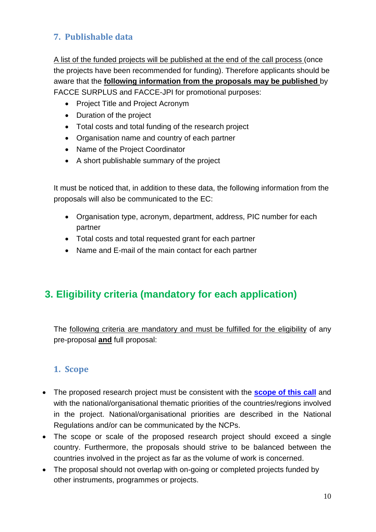## <span id="page-9-0"></span>**7. Publishable data**

A list of the funded projects will be published at the end of the call process (once the projects have been recommended for funding). Therefore applicants should be aware that the **following information from the proposals may be published** by FACCE SURPLUS and FACCE-JPI for promotional purposes:

- Project Title and Project Acronym
- Duration of the project
- Total costs and total funding of the research project
- Organisation name and country of each partner
- Name of the Project Coordinator
- A short publishable summary of the project

It must be noticed that, in addition to these data, the following information from the proposals will also be communicated to the EC:

- Organisation type, acronym, department, address, PIC number for each partner
- Total costs and total requested grant for each partner
- Name and E-mail of the main contact for each partner

## <span id="page-9-1"></span>**3. Eligibility criteria (mandatory for each application)**

The following criteria are mandatory and must be fulfilled for the eligibility of any pre-proposal **and** full proposal:

### <span id="page-9-2"></span>**1. Scope**

- The proposed research project must be consistent with the **[scope of this call](#page-3-2)** and with the national/organisational thematic priorities of the countries/regions involved in the project. National/organisational priorities are described in the National Regulations and/or can be communicated by the NCPs.
- The scope or scale of the proposed research project should exceed a single country. Furthermore, the proposals should strive to be balanced between the countries involved in the project as far as the volume of work is concerned.
- The proposal should not overlap with on-going or completed projects funded by other instruments, programmes or projects.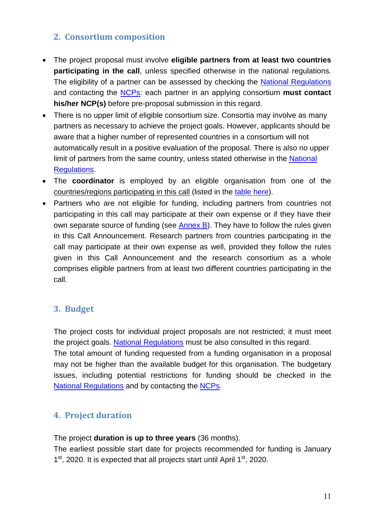### <span id="page-10-0"></span>**2. Consortium composition**

- The project proposal must involve **eligible partners from at least two countries participating in the call**, unless specified otherwise in the national regulations. The eligibility of a partner can be assessed by checking the [National Regulations](#page-34-0) and contacting the [NCPs:](#page-19-1) each partner in an applying consortium **must contact his/her NCP(s)** before pre-proposal submission in this regard.
- There is no upper limit of eligible consortium size. Consortia may involve as many partners as necessary to achieve the project goals. However, applicants should be aware that a higher number of represented countries in a consortium will not automatically result in a positive evaluation of the proposal. There is also no upper limit of partners from the same country, unless stated otherwise in the National [Regulations.](#page-34-0)
- The **coordinator** is employed by an eligible organisation from one of the countries/regions participating in this call (listed in the [table here\)](#page-7-1).
- Partners who are not eligible for funding, including partners from countries not participating in this call may participate at their own expense or if they have their own separate source of funding (see [Annex B](#page-20-0)). They have to follow the rules given in this Call Announcement. Research partners from countries participating in the call may participate at their own expense as well, provided they follow the rules given in this Call Announcement and the research consortium as a whole comprises eligible partners from at least two different countries participating in the call.

### <span id="page-10-1"></span>**3. Budget**

The project costs for individual project proposals are not restricted; it must meet the project goals. [National Regulations](#page-34-0) must be also consulted in this regard.

The total amount of funding requested from a funding organisation in a proposal may not be higher than the available budget for this organisation. The budgetary issues, including potential restrictions for funding should be checked in the [National Regulations](#page-34-0) and by contacting the [NCPs.](#page-19-1)

### <span id="page-10-2"></span>**4. Project duration**

The project **duration is up to three years** (36 months).

The earliest possible start date for projects recommended for funding is January  $1<sup>st</sup>$ , 2020. It is expected that all projects start until April  $1<sup>st</sup>$ , 2020.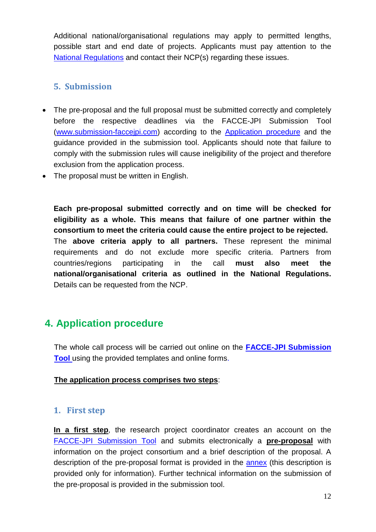Additional national/organisational regulations may apply to permitted lengths, possible start and end date of projects. Applicants must pay attention to the [National Regulations](#page-34-0) and contact their NCP(s) regarding these issues.

### <span id="page-11-0"></span>**5. Submission**

- The pre-proposal and the full proposal must be submitted correctly and completely before the respective deadlines via the FACCE-JPI Submission Tool [\(www.submission-faccejpi.com\)](http://www.submission-faccejpi.com/) according to the [Application procedure](#page-11-1) and the guidance provided in the submission tool. Applicants should note that failure to comply with the submission rules will cause ineligibility of the project and therefore exclusion from the application process.
- The proposal must be written in English.

**Each pre-proposal submitted correctly and on time will be checked for eligibility as a whole. This means that failure of one partner within the consortium to meet the criteria could cause the entire project to be rejected.**  The **above criteria apply to all partners.** These represent the minimal requirements and do not exclude more specific criteria. Partners from countries/regions participating in the call **must also meet the national/organisational criteria as outlined in the National Regulations.** Details can be requested from the NCP.

## <span id="page-11-1"></span>**4. Application procedure**

The whole call process will be carried out online on the **[FACCE-JPI Submission](http://www.submission-faccejpi.com/)  [Tool](http://www.submission-faccejpi.com/)** using the provided templates and online forms.

#### **The application process comprises two steps**:

### <span id="page-11-2"></span>**1. First step**

**In a first step**, the research project coordinator creates an account on the [FACCE-JPI Submission Tool](http://www.submission-faccejpi.com/) and submits electronically a **pre-proposal** with information on the project consortium and a brief description of the proposal. A description of the pre-proposal format is provided in the [annex](#page-20-1) (this description is provided only for information). Further technical information on the submission of the pre-proposal is provided in the submission tool.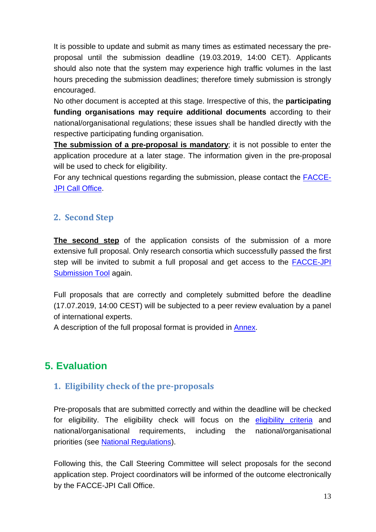It is possible to update and submit as many times as estimated necessary the preproposal until the submission deadline (19.03.2019, 14:00 CET). Applicants should also note that the system may experience high traffic volumes in the last hours preceding the submission deadlines; therefore timely submission is strongly encouraged.

No other document is accepted at this stage. Irrespective of this, the **participating funding organisations may require additional documents** according to their national/organisational regulations; these issues shall be handled directly with the respective participating funding organisation.

**The submission of a pre-proposal is mandatory**; it is not possible to enter the application procedure at a later stage. The information given in the pre-proposal will be used to check for eligibility.

For any technical questions regarding the submission, please contact the [FACCE-](mailto:ptj-faccejpi@fz-juelich.de)[JPI Call Office.](mailto:ptj-faccejpi@fz-juelich.de)

### <span id="page-12-0"></span>**2. Second Step**

**The second step** of the application consists of the submission of a more extensive full proposal. Only research consortia which successfully passed the first step will be invited to submit a full proposal and get access to the [FACCE-JPI](http://www.submission-faccejpi.com/)  [Submission Tool](http://www.submission-faccejpi.com/) again.

Full proposals that are correctly and completely submitted before the deadline (17.07.2019, 14:00 CEST) will be subjected to a peer review evaluation by a panel of international experts.

A description of the full proposal format is provided in [Annex.](#page-27-0)

## <span id="page-12-2"></span><span id="page-12-1"></span>**5. Evaluation**

### **1. Eligibility check of the pre-proposals**

Pre-proposals that are submitted correctly and within the deadline will be checked for eligibility. The eligibility check will focus on the [eligibility criteria](#page-9-1) and national/organisational requirements, including the national/organisational priorities (see [National Regulations\)](#page-34-0).

Following this, the Call Steering Committee will select proposals for the second application step. Project coordinators will be informed of the outcome electronically by the FACCE-JPI Call Office.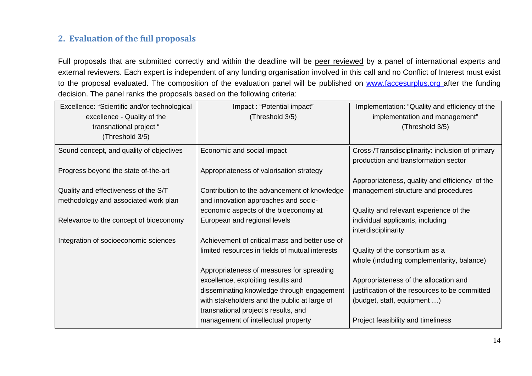### **2. Evaluation of the full proposals**

Full proposals that are submitted correctly and within the deadline will be peer reviewed by a panel of international experts and external reviewers. Each expert is independent of any funding organisation involved in this call and no Conflict of Interest must exist to the proposal evaluated. The composition of the evaluation panel will be published on [www.faccesurplus.org](http://www.faccejpi.com/) after the funding decision. The panel ranks the proposals based on the following criteria:

<span id="page-13-0"></span>

| Excellence: "Scientific and/or technological | Impact: "Potential impact"                      | Implementation: "Quality and efficiency of the   |
|----------------------------------------------|-------------------------------------------------|--------------------------------------------------|
| excellence - Quality of the                  | (Threshold 3/5)                                 | implementation and management"                   |
| transnational project "                      |                                                 | (Threshold 3/5)                                  |
| (Threshold 3/5)                              |                                                 |                                                  |
| Sound concept, and quality of objectives     | Economic and social impact                      | Cross-/Transdisciplinarity: inclusion of primary |
|                                              |                                                 | production and transformation sector             |
| Progress beyond the state of-the-art         | Appropriateness of valorisation strategy        |                                                  |
|                                              |                                                 | Appropriateness, quality and efficiency of the   |
| Quality and effectiveness of the S/T         | Contribution to the advancement of knowledge    | management structure and procedures              |
| methodology and associated work plan         | and innovation approaches and socio-            |                                                  |
|                                              | economic aspects of the bioeconomy at           | Quality and relevant experience of the           |
| Relevance to the concept of bioeconomy       | European and regional levels                    | individual applicants, including                 |
|                                              |                                                 | interdisciplinarity                              |
| Integration of socioeconomic sciences        | Achievement of critical mass and better use of  |                                                  |
|                                              | limited resources in fields of mutual interests | Quality of the consortium as a                   |
|                                              |                                                 | whole (including complementarity, balance)       |
|                                              | Appropriateness of measures for spreading       |                                                  |
|                                              | excellence, exploiting results and              | Appropriateness of the allocation and            |
|                                              | disseminating knowledge through engagement      | justification of the resources to be committed   |
|                                              | with stakeholders and the public at large of    | (budget, staff, equipment )                      |
|                                              | transnational project's results, and            |                                                  |
|                                              | management of intellectual property             | Project feasibility and timeliness               |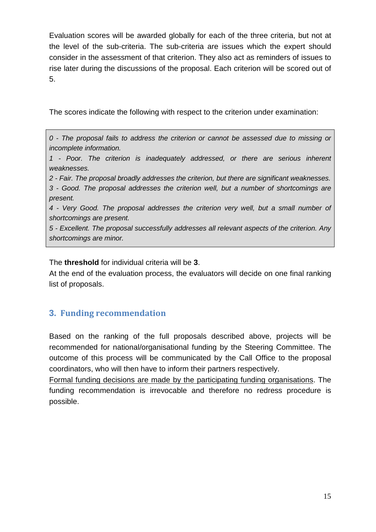Evaluation scores will be awarded globally for each of the three criteria, but not at the level of the sub-criteria. The sub-criteria are issues which the expert should consider in the assessment of that criterion. They also act as reminders of issues to rise later during the discussions of the proposal. Each criterion will be scored out of 5.

The scores indicate the following with respect to the criterion under examination:

*0 - The proposal fails to address the criterion or cannot be assessed due to missing or incomplete information.* 

*1 - Poor. The criterion is inadequately addressed, or there are serious inherent weaknesses.* 

*2 - Fair. The proposal broadly addresses the criterion, but there are significant weaknesses. 3 - Good. The proposal addresses the criterion well, but a number of shortcomings are present.* 

*4 - Very Good. The proposal addresses the criterion very well, but a small number of shortcomings are present.* 

*5 - Excellent. The proposal successfully addresses all relevant aspects of the criterion. Any shortcomings are minor.*

The **threshold** for individual criteria will be **3**.

At the end of the evaluation process, the evaluators will decide on one final ranking list of proposals.

### <span id="page-14-0"></span>**3. Funding recommendation**

Based on the ranking of the full proposals described above, projects will be recommended for national/organisational funding by the Steering Committee. The outcome of this process will be communicated by the Call Office to the proposal coordinators, who will then have to inform their partners respectively.

Formal funding decisions are made by the participating funding organisations. The funding recommendation is irrevocable and therefore no redress procedure is possible.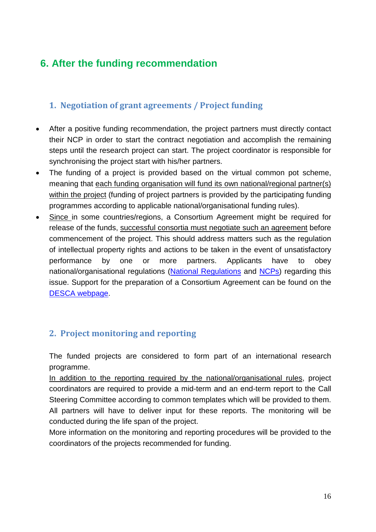## <span id="page-15-0"></span>**6. After the funding recommendation**

## <span id="page-15-1"></span>**1. Negotiation of grant agreements / Project funding**

- After a positive funding recommendation, the project partners must directly contact their NCP in order to start the contract negotiation and accomplish the remaining steps until the research project can start. The project coordinator is responsible for synchronising the project start with his/her partners.
- The funding of a project is provided based on the virtual common pot scheme, meaning that each funding organisation will fund its own national/regional partner(s) within the project (funding of project partners is provided by the participating funding programmes according to applicable national/organisational funding rules).
- Since in some countries/regions, a Consortium Agreement might be required for release of the funds, successful consortia must negotiate such an agreement before commencement of the project. This should address matters such as the regulation of intellectual property rights and actions to be taken in the event of unsatisfactory performance by one or more partners. Applicants have to obey national/organisational regulations [\(National Regulations](#page-34-0) and [NCPs\)](#page-19-1) regarding this issue. Support for the preparation of a Consortium Agreement can be found on the [DESCA webpage.](http://www.desca-2020.eu/)

### <span id="page-15-2"></span>**2. Project monitoring and reporting**

The funded projects are considered to form part of an international research programme.

In addition to the reporting required by the national/organisational rules, project coordinators are required to provide a mid-term and an end-term report to the Call Steering Committee according to common templates which will be provided to them. All partners will have to deliver input for these reports. The monitoring will be conducted during the life span of the project.

More information on the monitoring and reporting procedures will be provided to the coordinators of the projects recommended for funding.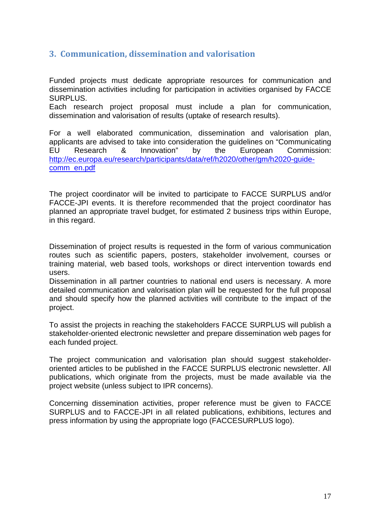### <span id="page-16-0"></span>**3. Communication, dissemination and valorisation**

Funded projects must dedicate appropriate resources for communication and dissemination activities including for participation in activities organised by FACCE SURPLUS.

Each research project proposal must include a plan for communication, dissemination and valorisation of results (uptake of research results).

For a well elaborated communication, dissemination and valorisation plan, applicants are advised to take into consideration the guidelines on "Communicating EU Research & Innovation" by the European Commission: [http://ec.europa.eu/research/participants/data/ref/h2020/other/gm/h2020-guide](http://ec.europa.eu/research/participants/data/ref/h2020/other/gm/h2020-guide-comm_en.pdf)[comm\\_en.pdf](http://ec.europa.eu/research/participants/data/ref/h2020/other/gm/h2020-guide-comm_en.pdf)

The project coordinator will be invited to participate to FACCE SURPLUS and/or FACCE-JPI events. It is therefore recommended that the project coordinator has planned an appropriate travel budget, for estimated 2 business trips within Europe, in this regard.

Dissemination of project results is requested in the form of various communication routes such as scientific papers, posters, stakeholder involvement, courses or training material, web based tools, workshops or direct intervention towards end users.

Dissemination in all partner countries to national end users is necessary. A more detailed communication and valorisation plan will be requested for the full proposal and should specify how the planned activities will contribute to the impact of the project.

To assist the projects in reaching the stakeholders FACCE SURPLUS will publish a stakeholder-oriented electronic newsletter and prepare dissemination web pages for each funded project.

The project communication and valorisation plan should suggest stakeholderoriented articles to be published in the FACCE SURPLUS electronic newsletter. All publications, which originate from the projects, must be made available via the project website (unless subject to IPR concerns).

Concerning dissemination activities, proper reference must be given to FACCE SURPLUS and to FACCE-JPI in all related publications, exhibitions, lectures and press information by using the appropriate logo (FACCESURPLUS logo).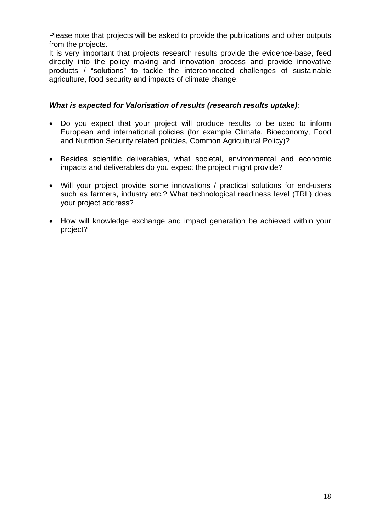Please note that projects will be asked to provide the publications and other outputs from the projects.

It is very important that projects research results provide the evidence-base, feed directly into the policy making and innovation process and provide innovative products / "solutions" to tackle the interconnected challenges of sustainable agriculture, food security and impacts of climate change.

#### *What is expected for Valorisation of results (research results uptake)*:

- Do you expect that your project will produce results to be used to inform European and international policies (for example Climate, Bioeconomy, Food and Nutrition Security related policies, Common Agricultural Policy)?
- Besides scientific deliverables, what societal, environmental and economic impacts and deliverables do you expect the project might provide?
- Will your project provide some innovations / practical solutions for end-users such as farmers, industry etc.? What technological readiness level (TRL) does your project address?
- How will knowledge exchange and impact generation be achieved within your project?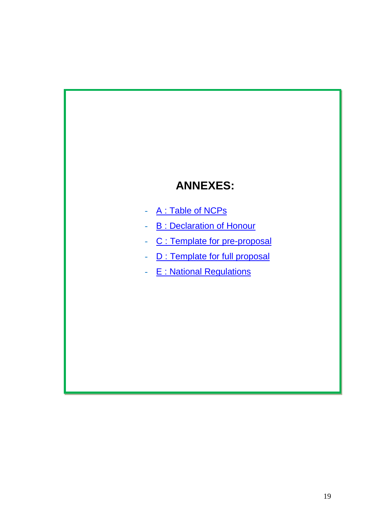## **ANNEXES:**

- A : Table of NCPs
- **B** : Declaration of Honour
- C : Template for pre-proposal
- D : Template for full proposal
- E : National Regulations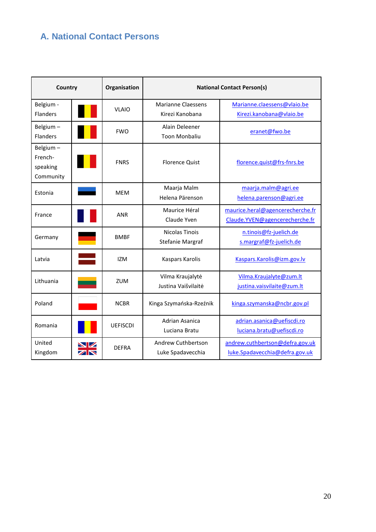## <span id="page-19-1"></span><span id="page-19-0"></span>**A. National Contact Persons**

| Country                                      |                                                   | Organisation | <b>National Contact Person(s)</b>                                  |                                                                   |  |  |  |
|----------------------------------------------|---------------------------------------------------|--------------|--------------------------------------------------------------------|-------------------------------------------------------------------|--|--|--|
| Belgium -<br><b>Flanders</b>                 |                                                   | <b>VLAIO</b> | <b>Marianne Claessens</b><br>Kirezi Kanobana                       | Marianne.claessens@vlaio.be<br>Kirezi.kanobana@vlaio.be           |  |  |  |
| Belgium-<br>Flanders                         |                                                   | <b>FWO</b>   | Alain Deleener<br><b>Toon Monbaliu</b>                             | eranet@fwo.be                                                     |  |  |  |
| Belgium-<br>French-<br>speaking<br>Community |                                                   | <b>FNRS</b>  | <b>Florence Quist</b>                                              | florence.quist@frs-fnrs.be                                        |  |  |  |
| Estonia                                      | Maarja Malm<br><b>MEM</b><br>Helena Pärenson      |              |                                                                    | maarja.malm@agri.ee<br>helena.parenson@agri.ee                    |  |  |  |
| France                                       | Maurice Héral<br><b>ANR</b><br>Claude Yven        |              | maurice.heral@agencerecherche.fr<br>Claude.YVEN@agencerecherche.fr |                                                                   |  |  |  |
| Germany                                      | Nicolas Tinois<br><b>BMBF</b><br>Stefanie Margraf |              |                                                                    | n.tinois@fz-juelich.de<br>s.margraf@fz-juelich.de                 |  |  |  |
| Latvia                                       |                                                   | <b>IZM</b>   | Kaspars Karolis                                                    | Kaspars.Karolis@izm.gov.lv                                        |  |  |  |
| Lithuania                                    |                                                   | <b>ZUM</b>   | Vilma Kraujalytė<br>Justina Vaišvilaitė                            | Vilma.Kraujalyte@zum.lt<br>justina.vaisvilaite@zum.lt             |  |  |  |
| Poland                                       |                                                   | <b>NCBR</b>  | Kinga Szymańska-Rzeźnik                                            | kinga.szymanska@ncbr.gov.pl                                       |  |  |  |
| Romania                                      | <b>UEFISCDI</b>                                   |              | <b>Adrian Asanica</b><br>Luciana Bratu                             | adrian.asanica@uefiscdi.ro<br>luciana.bratu@uefiscdi.ro           |  |  |  |
| United<br>Kingdom                            | $\blacksquare$                                    | <b>DEFRA</b> | Andrew Cuthbertson<br>Luke Spadavecchia                            | andrew.cuthbertson@defra.gov.uk<br>luke.Spadavecchia@defra.gov.uk |  |  |  |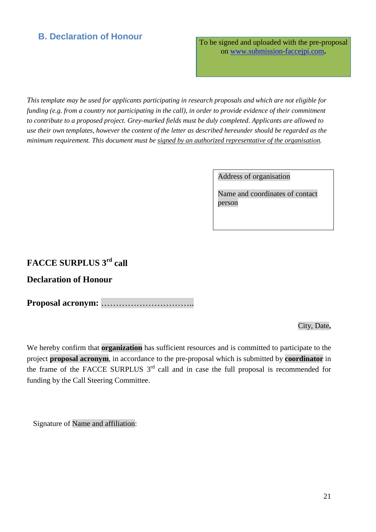## <span id="page-20-0"></span>**B. Declaration of Honour**

To be signed and uploaded with the pre-proposal on [www.submission-faccejpi.com](http://www.submission-faccejpi.com/)**.**

*This template may be used for applicants participating in research proposals and which are not eligible for funding (e.g. from a country not participating in the call), in order to provide evidence of their commitment to contribute to a proposed project. Grey-marked fields must be duly completed. Applicants are allowed to use their own templates, however the content of the letter as described hereunder should be regarded as the minimum requirement. This document must be signed by an authorized representative of the organisation.*

Address of organisation

Name and coordinates of contact person

## **FACCE SURPLUS 3rd call**

### **Declaration of Honour**

**Proposal acronym:** …………………………..

City, Date**,**

We hereby confirm that **organization** has sufficient resources and is committed to participate to the project **proposal acronym**, in accordance to the pre-proposal which is submitted by **coordinator** in the frame of the FACCE SURPLUS  $3<sup>rd</sup>$  call and in case the full proposal is recommended for funding by the Call Steering Committee.

<span id="page-20-1"></span>Signature of Name and affiliation: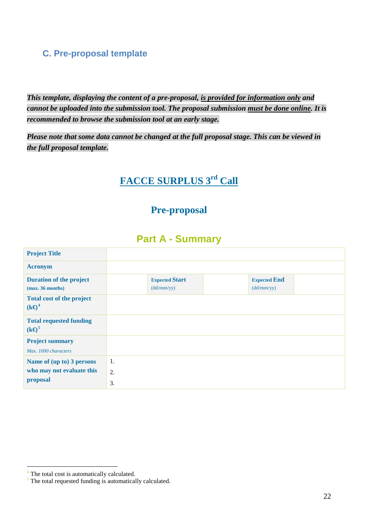### <span id="page-21-0"></span>**C. Pre-proposal template**

*This template, displaying the content of a pre-proposal, is provided for information only and cannot be uploaded into the submission tool. The proposal submission must be done online. It is recommended to browse the submission tool at an early stage.*

*Please note that some data cannot be changed at the full proposal stage. This can be viewed in the full proposal template.*

## **FACCE SURPLUS 3rd Call**

## **Pre-proposal**

## **Part A - Summary**

| <b>Project Title</b>                                               |                |                                     |                                   |  |
|--------------------------------------------------------------------|----------------|-------------------------------------|-----------------------------------|--|
| <b>Acronym</b>                                                     |                |                                     |                                   |  |
| <b>Duration of the project</b><br>(max. 36 months)                 |                | <b>Expected Start</b><br>(dd/mm/yy) | <b>Expected End</b><br>(dd/mm/yy) |  |
| <b>Total cost of the project</b><br>$(k\Theta^4)$                  |                |                                     |                                   |  |
| <b>Total requested funding</b><br>$(k\Theta^5)$                    |                |                                     |                                   |  |
| <b>Project summary</b><br>Max. 1000 characters                     |                |                                     |                                   |  |
| Name of (up to) 3 persons<br>who may not evaluate this<br>proposal | 1.<br>2.<br>3. |                                     |                                   |  |

<span id="page-21-1"></span><sup>&</sup>lt;sup>4</sup> The total cost is automatically calculated.

<span id="page-21-2"></span> $\frac{5}{3}$  The total requested funding is automatically calculated.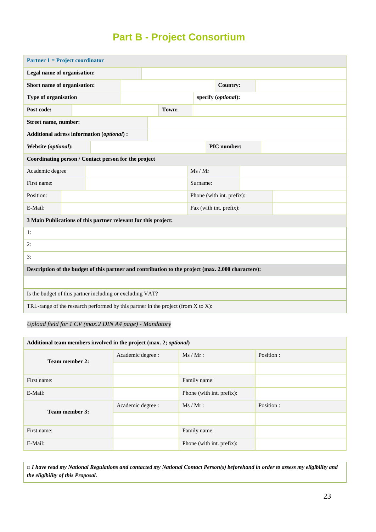## **Part B - Project Consortium**

| <b>Partner 1 = Project coordinator</b>                                                             |  |  |  |          |       |                           |  |                     |  |  |  |  |
|----------------------------------------------------------------------------------------------------|--|--|--|----------|-------|---------------------------|--|---------------------|--|--|--|--|
| Legal name of organisation:                                                                        |  |  |  |          |       |                           |  |                     |  |  |  |  |
| Short name of organisation:                                                                        |  |  |  |          |       |                           |  | <b>Country:</b>     |  |  |  |  |
| Type of organisation                                                                               |  |  |  |          |       |                           |  | specify (optional): |  |  |  |  |
| Post code:                                                                                         |  |  |  |          | Town: |                           |  |                     |  |  |  |  |
| Street name, number:                                                                               |  |  |  |          |       |                           |  |                     |  |  |  |  |
| Additional adress information (optional) :                                                         |  |  |  |          |       |                           |  |                     |  |  |  |  |
| Website (optional):                                                                                |  |  |  |          |       |                           |  | PIC number:         |  |  |  |  |
| Coordinating person / Contact person for the project                                               |  |  |  |          |       |                           |  |                     |  |  |  |  |
| Academic degree                                                                                    |  |  |  |          |       | Ms / Mr                   |  |                     |  |  |  |  |
| First name:                                                                                        |  |  |  | Surname: |       |                           |  |                     |  |  |  |  |
| Position:                                                                                          |  |  |  |          |       | Phone (with int. prefix): |  |                     |  |  |  |  |
| E-Mail:                                                                                            |  |  |  |          |       | Fax (with int. prefix):   |  |                     |  |  |  |  |
| 3 Main Publications of this partner relevant for this project:                                     |  |  |  |          |       |                           |  |                     |  |  |  |  |
| 1:                                                                                                 |  |  |  |          |       |                           |  |                     |  |  |  |  |
| 2:                                                                                                 |  |  |  |          |       |                           |  |                     |  |  |  |  |
| 3:                                                                                                 |  |  |  |          |       |                           |  |                     |  |  |  |  |
| Description of the budget of this partner and contribution to the project (max. 2.000 characters): |  |  |  |          |       |                           |  |                     |  |  |  |  |
|                                                                                                    |  |  |  |          |       |                           |  |                     |  |  |  |  |
| Is the budget of this partner including or excluding VAT?                                          |  |  |  |          |       |                           |  |                     |  |  |  |  |
| TRL-range of the research performed by this partner in the project (from $X$ to $X$ ):             |  |  |  |          |       |                           |  |                     |  |  |  |  |

#### *Upload field for 1 CV (max.2 DIN A4 page) - Mandatory*

| Additional team members involved in the project (max. 2; optional) |                   |                           |            |  |  |  |  |  |  |
|--------------------------------------------------------------------|-------------------|---------------------------|------------|--|--|--|--|--|--|
| Team member 2:                                                     | Academic degree : | $Ms / Mr$ :               | Position : |  |  |  |  |  |  |
|                                                                    |                   |                           |            |  |  |  |  |  |  |
| First name:                                                        |                   | Family name:              |            |  |  |  |  |  |  |
| E-Mail:                                                            |                   | Phone (with int. prefix): |            |  |  |  |  |  |  |
| Team member 3:                                                     | Academic degree : | $Ms / Mr$ :               | Position:  |  |  |  |  |  |  |
|                                                                    |                   |                           |            |  |  |  |  |  |  |
| First name:                                                        |                   | Family name:              |            |  |  |  |  |  |  |
| E-Mail:                                                            |                   | Phone (with int. prefix): |            |  |  |  |  |  |  |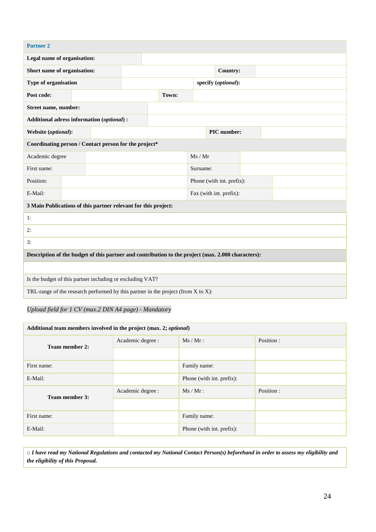| <b>Partner 2</b>                                                                                   |  |  |  |          |       |                           |  |                         |  |  |
|----------------------------------------------------------------------------------------------------|--|--|--|----------|-------|---------------------------|--|-------------------------|--|--|
| Legal name of organisation:                                                                        |  |  |  |          |       |                           |  |                         |  |  |
| Short name of organisation:                                                                        |  |  |  |          |       |                           |  | Country:                |  |  |
| Type of organisation                                                                               |  |  |  |          |       |                           |  | specify (optional):     |  |  |
| Post code:                                                                                         |  |  |  |          | Town: |                           |  |                         |  |  |
| Street name, number:                                                                               |  |  |  |          |       |                           |  |                         |  |  |
| Additional adress information (optional) :                                                         |  |  |  |          |       |                           |  |                         |  |  |
| Website (optional):                                                                                |  |  |  |          |       |                           |  | PIC number:             |  |  |
| Coordinating person / Contact person for the project*                                              |  |  |  |          |       |                           |  |                         |  |  |
| Academic degree                                                                                    |  |  |  |          |       | Ms / Mr                   |  |                         |  |  |
| First name:                                                                                        |  |  |  | Surname: |       |                           |  |                         |  |  |
| Position:                                                                                          |  |  |  |          |       | Phone (with int. prefix): |  |                         |  |  |
| E-Mail:                                                                                            |  |  |  |          |       |                           |  | Fax (with int. prefix): |  |  |
| 3 Main Publications of this partner relevant for this project:                                     |  |  |  |          |       |                           |  |                         |  |  |
| 1:                                                                                                 |  |  |  |          |       |                           |  |                         |  |  |
| 2:                                                                                                 |  |  |  |          |       |                           |  |                         |  |  |
| 3:                                                                                                 |  |  |  |          |       |                           |  |                         |  |  |
| Description of the budget of this partner and contribution to the project (max. 2.000 characters): |  |  |  |          |       |                           |  |                         |  |  |
|                                                                                                    |  |  |  |          |       |                           |  |                         |  |  |
| Is the budget of this partner including or excluding VAT?                                          |  |  |  |          |       |                           |  |                         |  |  |
| TRL-range of the research performed by this partner in the project (from $X$ to $X$ ):             |  |  |  |          |       |                           |  |                         |  |  |

#### *Upload field for 1 CV (max.2 DIN A4 page) - Mandatory*

| Additional team members involved in the project (max. 2; optional) |                   |                           |           |  |  |  |  |  |  |  |
|--------------------------------------------------------------------|-------------------|---------------------------|-----------|--|--|--|--|--|--|--|
| Team member 2:                                                     | Academic degree : | $Ms / Mr$ :               | Position: |  |  |  |  |  |  |  |
|                                                                    |                   |                           |           |  |  |  |  |  |  |  |
| First name:                                                        |                   | Family name:              |           |  |  |  |  |  |  |  |
| E-Mail:                                                            |                   | Phone (with int. prefix): |           |  |  |  |  |  |  |  |
| Team member 3:                                                     | Academic degree : | $Ms / Mr$ :               | Position: |  |  |  |  |  |  |  |
|                                                                    |                   |                           |           |  |  |  |  |  |  |  |
| First name:                                                        |                   | Family name:              |           |  |  |  |  |  |  |  |
| E-Mail:                                                            |                   | Phone (with int. prefix): |           |  |  |  |  |  |  |  |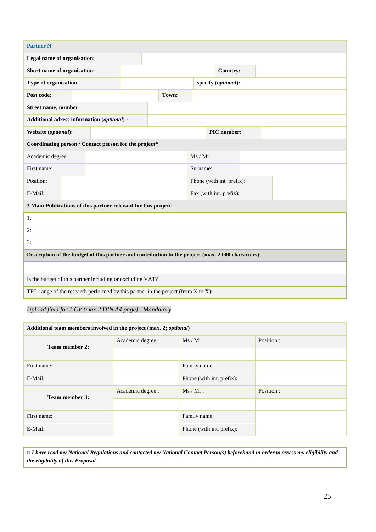| <b>Partner N</b>                                                                                   |  |  |          |  |       |                           |  |                         |  |  |
|----------------------------------------------------------------------------------------------------|--|--|----------|--|-------|---------------------------|--|-------------------------|--|--|
| Legal name of organisation:                                                                        |  |  |          |  |       |                           |  |                         |  |  |
| Short name of organisation:                                                                        |  |  |          |  |       |                           |  | Country:                |  |  |
| Type of organisation                                                                               |  |  |          |  |       |                           |  | specify (optional):     |  |  |
| Post code:                                                                                         |  |  |          |  | Town: |                           |  |                         |  |  |
| Street name, number:                                                                               |  |  |          |  |       |                           |  |                         |  |  |
| Additional adress information (optional) :                                                         |  |  |          |  |       |                           |  |                         |  |  |
| Website (optional):                                                                                |  |  |          |  |       |                           |  | PIC number:             |  |  |
| Coordinating person / Contact person for the project*                                              |  |  |          |  |       |                           |  |                         |  |  |
| Academic degree                                                                                    |  |  |          |  |       | Ms / Mr                   |  |                         |  |  |
| First name:                                                                                        |  |  | Surname: |  |       |                           |  |                         |  |  |
| Position:                                                                                          |  |  |          |  |       | Phone (with int. prefix): |  |                         |  |  |
| E-Mail:                                                                                            |  |  |          |  |       |                           |  | Fax (with int. prefix): |  |  |
| 3 Main Publications of this partner relevant for this project:                                     |  |  |          |  |       |                           |  |                         |  |  |
| 1:                                                                                                 |  |  |          |  |       |                           |  |                         |  |  |
| 2:                                                                                                 |  |  |          |  |       |                           |  |                         |  |  |
| 3:                                                                                                 |  |  |          |  |       |                           |  |                         |  |  |
| Description of the budget of this partner and contribution to the project (max. 2.000 characters): |  |  |          |  |       |                           |  |                         |  |  |
|                                                                                                    |  |  |          |  |       |                           |  |                         |  |  |
| Is the budget of this partner including or excluding VAT?                                          |  |  |          |  |       |                           |  |                         |  |  |
| TRL-range of the research performed by this partner in the project (from $X$ to $X$ ):             |  |  |          |  |       |                           |  |                         |  |  |

#### *Upload field for 1 CV (max.2 DIN A4 page) - Mandatory*

| Additional team members involved in the project (max. 2; optional) |                   |                           |           |  |  |  |  |  |  |  |
|--------------------------------------------------------------------|-------------------|---------------------------|-----------|--|--|--|--|--|--|--|
| Team member 2:                                                     | Academic degree : | $Ms / Mr$ :               | Position: |  |  |  |  |  |  |  |
|                                                                    |                   |                           |           |  |  |  |  |  |  |  |
| First name:                                                        |                   | Family name:              |           |  |  |  |  |  |  |  |
| E-Mail:                                                            |                   | Phone (with int. prefix): |           |  |  |  |  |  |  |  |
| Team member 3:                                                     | Academic degree : | $Ms / Mr$ :               | Position: |  |  |  |  |  |  |  |
|                                                                    |                   |                           |           |  |  |  |  |  |  |  |
| First name:                                                        |                   | Family name:              |           |  |  |  |  |  |  |  |
| E-Mail:                                                            |                   | Phone (with int. prefix): |           |  |  |  |  |  |  |  |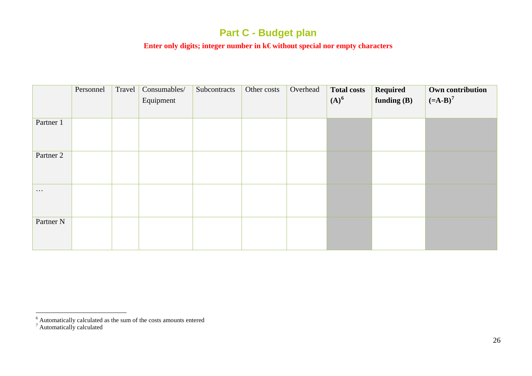## <span id="page-25-1"></span><span id="page-25-0"></span>**Part C - Budget plan**

#### **Enter only digits; integer number in k€ without special nor empty characters**

|                      | Personnel | Travel | Consumables/<br>Equipment | Subcontracts | Other costs | Overhead | <b>Total costs</b><br>$(A)^6$ | Required<br>funding $(B)$ | Own contribution<br>$(-A-B)^7$ |
|----------------------|-----------|--------|---------------------------|--------------|-------------|----------|-------------------------------|---------------------------|--------------------------------|
| Partner 1            |           |        |                           |              |             |          |                               |                           |                                |
| Partner 2            |           |        |                           |              |             |          |                               |                           |                                |
| $\cdots$             |           |        |                           |              |             |          |                               |                           |                                |
| Partner <sub>N</sub> |           |        |                           |              |             |          |                               |                           |                                |

 $\overline{a}$ 

 $6$  Automatically calculated as the sum of the costs amounts entered

<sup>&</sup>lt;sup>7</sup> Automatically calculated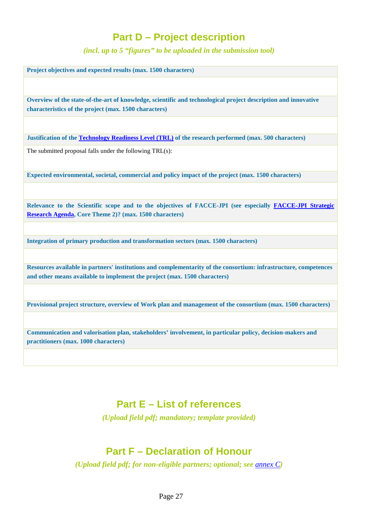## **Part D – Project description**

*(incl. up to 5 "figures" to be uploaded in the submission tool)*

**Project objectives and expected results (max. 1500 characters)**

**Overview of the state-of-the-art of knowledge, scientific and technological project description and innovative characteristics of the project (max. 1500 characters)**

**Justification of th[e Technology Readiness Level \(TRL\)](https://ec.europa.eu/research/participants/portal/desktop/en/support/faqs/faq-2890.html) of the research performed (max. 500 characters)**

The submitted proposal falls under the following TRL(s):

**Expected environmental, societal, commercial and policy impact of the project (max. 1500 characters)**

**Relevance to the Scientific scope and to the objectives of FACCE-JPI (see especially [FACCE-JPI Strategic](http://www.faccejpi.com/Strategic-Research-Agenda)  [Research Agenda,](http://www.faccejpi.com/Strategic-Research-Agenda) Core Theme 2)? (max. 1500 characters)** 

**Integration of primary production and transformation sectors (max. 1500 characters)**

**Resources available in partners' institutions and complementarity of the consortium: infrastructure, competences and other means available to implement the project (max. 1500 characters)**

**Provisional project structure, overview of Work plan and management of the consortium (max. 1500 characters)**

**Communication and valorisation plan, stakeholders' involvement, in particular policy, decision-makers and practitioners (max. 1000 characters)**

### **Part E – List of references**

*(Upload field pdf; mandatory; template provided)*

## **Part F – Declaration of Honour**

*(Upload field pdf; for non-eligible partners; optional; see [annex C](#page-20-0))*

Page 27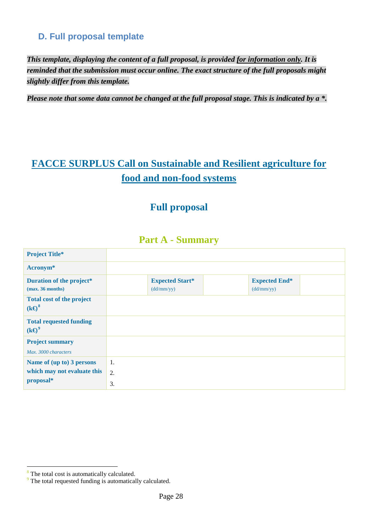### <span id="page-27-0"></span>**D. Full proposal template**

*This template, displaying the content of a full proposal, is provided for information only. It is reminded that the submission must occur online. The exact structure of the full proposals might slightly differ from this template.*

*Please note that some data cannot be changed at the full proposal stage. This is indicated by a \*.*

## **FACCE SURPLUS Call on Sustainable and Resilient agriculture for food and non-food systems**

## **Full proposal**

### **Part A - Summary**

| <b>Project Title*</b>                                                 |          |                                      |                                    |
|-----------------------------------------------------------------------|----------|--------------------------------------|------------------------------------|
| Acronym <sup>*</sup>                                                  |          |                                      |                                    |
| Duration of the project*<br>(max. 36 months)                          |          | <b>Expected Start*</b><br>(dd/mm/yy) | <b>Expected End*</b><br>(dd/mm/yy) |
| <b>Total cost of the project</b><br>$(k\Theta^8)$                     |          |                                      |                                    |
| <b>Total requested funding</b><br>$(k\Theta^9)$                       |          |                                      |                                    |
| <b>Project summary</b><br>Max. 3000 characters                        |          |                                      |                                    |
| Name of (up to) 3 persons<br>which may not evaluate this<br>proposal* | 1.<br>2. |                                      |                                    |
|                                                                       | 3.       |                                      |                                    |

 $\overline{a}$ 

<span id="page-27-1"></span><sup>&</sup>lt;sup>8</sup> The total cost is automatically calculated.

<span id="page-27-2"></span><sup>&</sup>lt;sup>9</sup> The total requested funding is automatically calculated.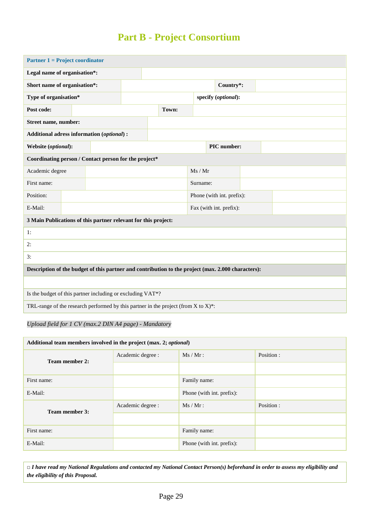## **Part B - Project Consortium**

| <b>Partner 1 = Project coordinator</b>                                                             |       |  |  |  |  |                           |  |                     |  |  |
|----------------------------------------------------------------------------------------------------|-------|--|--|--|--|---------------------------|--|---------------------|--|--|
| Legal name of organisation*:                                                                       |       |  |  |  |  |                           |  |                     |  |  |
| Short name of organisation*:                                                                       |       |  |  |  |  |                           |  | Country*:           |  |  |
| Type of organisation*                                                                              |       |  |  |  |  |                           |  | specify (optional): |  |  |
| Post code:                                                                                         | Town: |  |  |  |  |                           |  |                     |  |  |
| Street name, number:                                                                               |       |  |  |  |  |                           |  |                     |  |  |
| Additional adress information (optional) :                                                         |       |  |  |  |  |                           |  |                     |  |  |
| Website (optional):                                                                                |       |  |  |  |  | PIC number:               |  |                     |  |  |
| Coordinating person / Contact person for the project*                                              |       |  |  |  |  |                           |  |                     |  |  |
| Academic degree                                                                                    |       |  |  |  |  | Ms / Mr                   |  |                     |  |  |
| First name:                                                                                        |       |  |  |  |  | Surname:                  |  |                     |  |  |
| Position:                                                                                          |       |  |  |  |  | Phone (with int. prefix): |  |                     |  |  |
| E-Mail:                                                                                            |       |  |  |  |  | Fax (with int. prefix):   |  |                     |  |  |
| 3 Main Publications of this partner relevant for this project:                                     |       |  |  |  |  |                           |  |                     |  |  |
| 1:                                                                                                 |       |  |  |  |  |                           |  |                     |  |  |
| 2:                                                                                                 |       |  |  |  |  |                           |  |                     |  |  |
| 3:                                                                                                 |       |  |  |  |  |                           |  |                     |  |  |
| Description of the budget of this partner and contribution to the project (max. 2.000 characters): |       |  |  |  |  |                           |  |                     |  |  |
|                                                                                                    |       |  |  |  |  |                           |  |                     |  |  |
| Is the budget of this partner including or excluding VAT*?                                         |       |  |  |  |  |                           |  |                     |  |  |
| TRL-range of the research performed by this partner in the project (from $X$ to $X$ )*:            |       |  |  |  |  |                           |  |                     |  |  |

#### *Upload field for 1 CV (max.2 DIN A4 page) - Mandatory*

| Additional team members involved in the project (max. 2; optional) |                   |                           |            |  |  |  |  |  |
|--------------------------------------------------------------------|-------------------|---------------------------|------------|--|--|--|--|--|
| Team member 2:                                                     | Academic degree : | $Ms / Mr$ :               | Position : |  |  |  |  |  |
|                                                                    |                   |                           |            |  |  |  |  |  |
| First name:                                                        |                   | Family name:              |            |  |  |  |  |  |
| E-Mail:                                                            |                   | Phone (with int. prefix): |            |  |  |  |  |  |
| Team member 3:                                                     | Academic degree : | $Ms / Mr$ :               | Position:  |  |  |  |  |  |
|                                                                    |                   |                           |            |  |  |  |  |  |
| First name:                                                        |                   | Family name:              |            |  |  |  |  |  |
| E-Mail:                                                            |                   | Phone (with int. prefix): |            |  |  |  |  |  |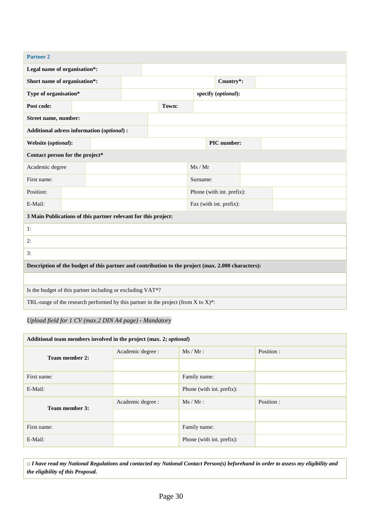| <b>Partner 2</b>                                                                                   |  |       |  |  |          |                           |             |                     |  |  |  |  |  |  |  |
|----------------------------------------------------------------------------------------------------|--|-------|--|--|----------|---------------------------|-------------|---------------------|--|--|--|--|--|--|--|
| Legal name of organisation*:                                                                       |  |       |  |  |          |                           |             |                     |  |  |  |  |  |  |  |
| Short name of organisation*:                                                                       |  |       |  |  |          |                           |             | Country*:           |  |  |  |  |  |  |  |
| Type of organisation*                                                                              |  |       |  |  |          |                           |             | specify (optional): |  |  |  |  |  |  |  |
| Post code:                                                                                         |  | Town: |  |  |          |                           |             |                     |  |  |  |  |  |  |  |
| Street name, number:                                                                               |  |       |  |  |          |                           |             |                     |  |  |  |  |  |  |  |
| Additional adress information (optional) :                                                         |  |       |  |  |          |                           |             |                     |  |  |  |  |  |  |  |
| Website (optional):                                                                                |  |       |  |  |          |                           | PIC number: |                     |  |  |  |  |  |  |  |
| Contact person for the project*                                                                    |  |       |  |  |          |                           |             |                     |  |  |  |  |  |  |  |
| Academic degree                                                                                    |  |       |  |  | Ms / Mr  |                           |             |                     |  |  |  |  |  |  |  |
| First name:                                                                                        |  |       |  |  | Surname: |                           |             |                     |  |  |  |  |  |  |  |
| Position:                                                                                          |  |       |  |  |          | Phone (with int. prefix): |             |                     |  |  |  |  |  |  |  |
| E-Mail:                                                                                            |  |       |  |  |          | Fax (with int. prefix):   |             |                     |  |  |  |  |  |  |  |
| 3 Main Publications of this partner relevant for this project:                                     |  |       |  |  |          |                           |             |                     |  |  |  |  |  |  |  |
| 1:                                                                                                 |  |       |  |  |          |                           |             |                     |  |  |  |  |  |  |  |
| 2:                                                                                                 |  |       |  |  |          |                           |             |                     |  |  |  |  |  |  |  |
| 3:                                                                                                 |  |       |  |  |          |                           |             |                     |  |  |  |  |  |  |  |
| Description of the budget of this partner and contribution to the project (max. 2.000 characters): |  |       |  |  |          |                           |             |                     |  |  |  |  |  |  |  |
|                                                                                                    |  |       |  |  |          |                           |             |                     |  |  |  |  |  |  |  |
| Is the budget of this partner including or excluding VAT*?                                         |  |       |  |  |          |                           |             |                     |  |  |  |  |  |  |  |
| TRL-range of the research performed by this partner in the project (from $X$ to $X$ )*:            |  |       |  |  |          |                           |             |                     |  |  |  |  |  |  |  |

#### *Upload field for 1 CV (max.2 DIN A4 page) - Mandatory*

| Additional team members involved in the project (max. 2; optional) |                                  |                           |           |  |  |  |  |  |
|--------------------------------------------------------------------|----------------------------------|---------------------------|-----------|--|--|--|--|--|
| Team member 2:                                                     | $Ms / Mr$ :<br>Academic degree : |                           | Position: |  |  |  |  |  |
|                                                                    |                                  |                           |           |  |  |  |  |  |
| First name:                                                        |                                  | Family name:              |           |  |  |  |  |  |
| E-Mail:                                                            |                                  | Phone (with int. prefix): |           |  |  |  |  |  |
| Team member 3:                                                     | Academic degree :                | $Ms / Mr$ :               | Position: |  |  |  |  |  |
|                                                                    |                                  |                           |           |  |  |  |  |  |
| First name:                                                        |                                  | Family name:              |           |  |  |  |  |  |
| E-Mail:                                                            |                                  | Phone (with int. prefix): |           |  |  |  |  |  |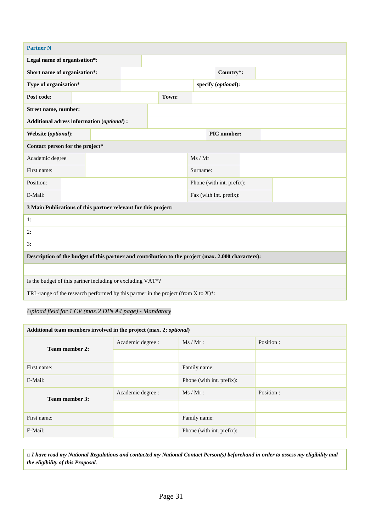| <b>Partner N</b>                                                                                   |                                                            |  |  |       |          |                           |  |                     |  |  |  |
|----------------------------------------------------------------------------------------------------|------------------------------------------------------------|--|--|-------|----------|---------------------------|--|---------------------|--|--|--|
| Legal name of organisation*:                                                                       |                                                            |  |  |       |          |                           |  |                     |  |  |  |
| Short name of organisation*:                                                                       |                                                            |  |  |       |          |                           |  | Country*:           |  |  |  |
| Type of organisation*                                                                              |                                                            |  |  |       |          |                           |  | specify (optional): |  |  |  |
| Post code:                                                                                         |                                                            |  |  | Town: |          |                           |  |                     |  |  |  |
| Street name, number:                                                                               |                                                            |  |  |       |          |                           |  |                     |  |  |  |
| Additional adress information (optional) :                                                         |                                                            |  |  |       |          |                           |  |                     |  |  |  |
| Website (optional):                                                                                |                                                            |  |  |       |          | PIC number:               |  |                     |  |  |  |
| Contact person for the project*                                                                    |                                                            |  |  |       |          |                           |  |                     |  |  |  |
| Academic degree                                                                                    |                                                            |  |  |       |          | Ms / Mr                   |  |                     |  |  |  |
| First name:                                                                                        |                                                            |  |  |       | Surname: |                           |  |                     |  |  |  |
| Position:                                                                                          |                                                            |  |  |       |          | Phone (with int. prefix): |  |                     |  |  |  |
| E-Mail:                                                                                            |                                                            |  |  |       |          | Fax (with int. prefix):   |  |                     |  |  |  |
| 3 Main Publications of this partner relevant for this project:                                     |                                                            |  |  |       |          |                           |  |                     |  |  |  |
| 1:                                                                                                 |                                                            |  |  |       |          |                           |  |                     |  |  |  |
| 2:                                                                                                 |                                                            |  |  |       |          |                           |  |                     |  |  |  |
| 3:                                                                                                 |                                                            |  |  |       |          |                           |  |                     |  |  |  |
| Description of the budget of this partner and contribution to the project (max. 2.000 characters): |                                                            |  |  |       |          |                           |  |                     |  |  |  |
|                                                                                                    |                                                            |  |  |       |          |                           |  |                     |  |  |  |
|                                                                                                    | Is the budget of this partner including or excluding VAT*? |  |  |       |          |                           |  |                     |  |  |  |
| TRL-range of the research performed by this partner in the project (from $X$ to $X$ )*:            |                                                            |  |  |       |          |                           |  |                     |  |  |  |

*Upload field for 1 CV (max.2 DIN A4 page) - Mandatory*

| Additional team members involved in the project (max. 2; optional) |                   |                           |            |  |  |  |  |  |
|--------------------------------------------------------------------|-------------------|---------------------------|------------|--|--|--|--|--|
| Team member 2:                                                     | Academic degree : | $Ms / Mr$ :               | Position : |  |  |  |  |  |
|                                                                    |                   |                           |            |  |  |  |  |  |
| First name:                                                        |                   | Family name:              |            |  |  |  |  |  |
| E-Mail:                                                            |                   | Phone (with int. prefix): |            |  |  |  |  |  |
| Team member 3:                                                     | Academic degree : | $Ms / Mr$ :               | Position:  |  |  |  |  |  |
|                                                                    |                   |                           |            |  |  |  |  |  |
| First name:                                                        |                   | Family name:              |            |  |  |  |  |  |
| E-Mail:                                                            |                   | Phone (with int. prefix): |            |  |  |  |  |  |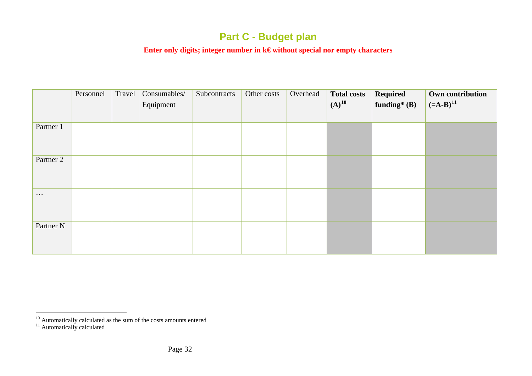## <span id="page-31-1"></span><span id="page-31-0"></span>**Part C - Budget plan**

#### **Enter only digits; integer number in k€ without special nor empty characters**

|                      | Personnel | Travel | Consumables/<br>Equipment | Subcontracts | Other costs | Overhead | <b>Total costs</b><br>$(A)^{10}$ | Required<br>funding* $(B)$ | Own contribution<br>$(=A-B)^{11}$ |
|----------------------|-----------|--------|---------------------------|--------------|-------------|----------|----------------------------------|----------------------------|-----------------------------------|
| Partner 1            |           |        |                           |              |             |          |                                  |                            |                                   |
| Partner 2            |           |        |                           |              |             |          |                                  |                            |                                   |
| $\cdots$             |           |        |                           |              |             |          |                                  |                            |                                   |
| Partner <sub>N</sub> |           |        |                           |              |             |          |                                  |                            |                                   |

 $\overline{a}$ 

 $10^{10}$  Automatically calculated as the sum of the costs amounts entered  $11$  Automatically calculated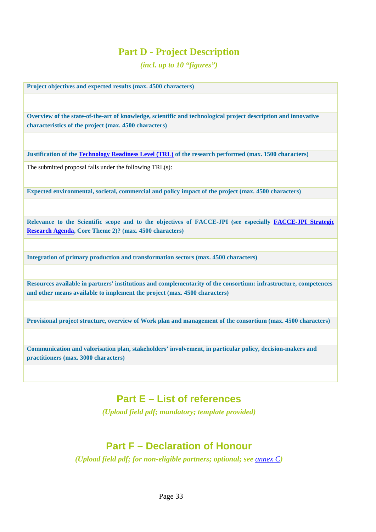## **Part D - Project Description**

*(incl. up to 10 "figures")*

**Project objectives and expected results (max. 4500 characters)**

**Overview of the state-of-the-art of knowledge, scientific and technological project description and innovative characteristics of the project (max. 4500 characters)**

**Justification of th[e Technology Readiness Level \(TRL\)](https://ec.europa.eu/research/participants/portal/desktop/en/support/faqs/faq-2890.html) of the research performed (max. 1500 characters)**

The submitted proposal falls under the following TRL(s):

**Expected environmental, societal, commercial and policy impact of the project (max. 4500 characters)**

**Relevance to the Scientific scope and to the objectives of FACCE-JPI (see especially [FACCE-JPI Strategic](http://www.faccejpi.com/Strategic-Research-Agenda)  [Research Agenda,](http://www.faccejpi.com/Strategic-Research-Agenda) Core Theme 2)? (max. 4500 characters)** 

**Integration of primary production and transformation sectors (max. 4500 characters)**

**Resources available in partners' institutions and complementarity of the consortium: infrastructure, competences and other means available to implement the project (max. 4500 characters)**

**Provisional project structure, overview of Work plan and management of the consortium (max. 4500 characters)**

**Communication and valorisation plan, stakeholders' involvement, in particular policy, decision-makers and practitioners (max. 3000 characters)**

### **Part E – List of references**

*(Upload field pdf; mandatory; template provided)*

## **Part F – Declaration of Honour**

*(Upload field pdf; for non-eligible partners; optional; see [annex C](#page-20-0))*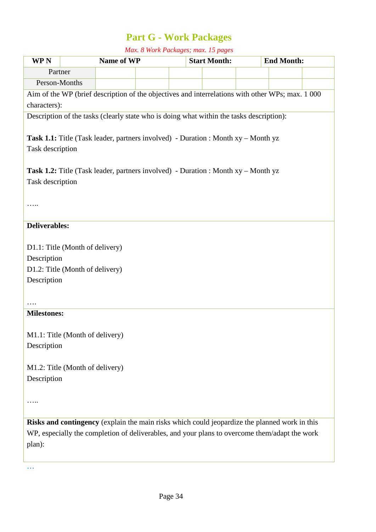## **Part G - Work Packages**

*Max. 8 Work Packages; max. 15 pages*

| <b>WPN</b>                                                                                       |  | Name of WP                                                                               |  |  | <b>Start Month:</b> |  | <b>End Month:</b> |  |  |
|--------------------------------------------------------------------------------------------------|--|------------------------------------------------------------------------------------------|--|--|---------------------|--|-------------------|--|--|
| Partner                                                                                          |  |                                                                                          |  |  |                     |  |                   |  |  |
| Person-Months                                                                                    |  |                                                                                          |  |  |                     |  |                   |  |  |
| Aim of the WP (brief description of the objectives and interrelations with other WPs; max. 1 000 |  |                                                                                          |  |  |                     |  |                   |  |  |
| characters):                                                                                     |  |                                                                                          |  |  |                     |  |                   |  |  |
| Description of the tasks (clearly state who is doing what within the tasks description):         |  |                                                                                          |  |  |                     |  |                   |  |  |
| <b>Task 1.1:</b> Title (Task leader, partners involved) - Duration : Month xy – Month yz         |  |                                                                                          |  |  |                     |  |                   |  |  |
| Task description                                                                                 |  |                                                                                          |  |  |                     |  |                   |  |  |
|                                                                                                  |  |                                                                                          |  |  |                     |  |                   |  |  |
|                                                                                                  |  | <b>Task 1.2:</b> Title (Task leader, partners involved) - Duration : Month xy – Month yz |  |  |                     |  |                   |  |  |
| Task description                                                                                 |  |                                                                                          |  |  |                     |  |                   |  |  |
|                                                                                                  |  |                                                                                          |  |  |                     |  |                   |  |  |
|                                                                                                  |  |                                                                                          |  |  |                     |  |                   |  |  |
|                                                                                                  |  |                                                                                          |  |  |                     |  |                   |  |  |
| <b>Deliverables:</b>                                                                             |  |                                                                                          |  |  |                     |  |                   |  |  |
|                                                                                                  |  |                                                                                          |  |  |                     |  |                   |  |  |
| D1.1: Title (Month of delivery)                                                                  |  |                                                                                          |  |  |                     |  |                   |  |  |
| Description                                                                                      |  |                                                                                          |  |  |                     |  |                   |  |  |
| D1.2: Title (Month of delivery)                                                                  |  |                                                                                          |  |  |                     |  |                   |  |  |
| Description                                                                                      |  |                                                                                          |  |  |                     |  |                   |  |  |
|                                                                                                  |  |                                                                                          |  |  |                     |  |                   |  |  |
|                                                                                                  |  |                                                                                          |  |  |                     |  |                   |  |  |
| <b>Milestones:</b>                                                                               |  |                                                                                          |  |  |                     |  |                   |  |  |
| M1.1: Title (Month of delivery)                                                                  |  |                                                                                          |  |  |                     |  |                   |  |  |
| Description                                                                                      |  |                                                                                          |  |  |                     |  |                   |  |  |
|                                                                                                  |  |                                                                                          |  |  |                     |  |                   |  |  |
| M1.2: Title (Month of delivery)                                                                  |  |                                                                                          |  |  |                     |  |                   |  |  |
| Description                                                                                      |  |                                                                                          |  |  |                     |  |                   |  |  |
|                                                                                                  |  |                                                                                          |  |  |                     |  |                   |  |  |
|                                                                                                  |  |                                                                                          |  |  |                     |  |                   |  |  |
|                                                                                                  |  |                                                                                          |  |  |                     |  |                   |  |  |
| Risks and contingency (explain the main risks which could jeopardize the planned work in this    |  |                                                                                          |  |  |                     |  |                   |  |  |
| WP, especially the completion of deliverables, and your plans to overcome them/adapt the work    |  |                                                                                          |  |  |                     |  |                   |  |  |
| plan):                                                                                           |  |                                                                                          |  |  |                     |  |                   |  |  |
|                                                                                                  |  |                                                                                          |  |  |                     |  |                   |  |  |

…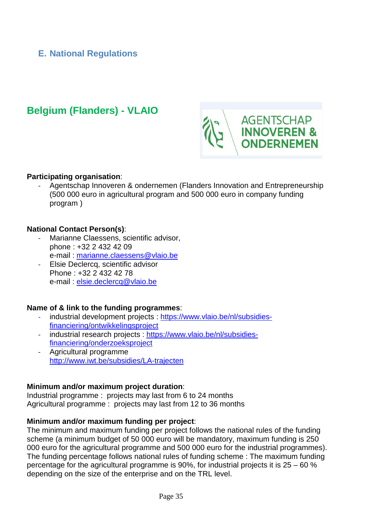### <span id="page-34-0"></span>**E. National Regulations**

## **Belgium (Flanders) - VLAIO**



#### **Participating organisation**:

- Agentschap Innoveren & ondernemen (Flanders Innovation and Entrepreneurship (500 000 euro in agricultural program and 500 000 euro in company funding program )

#### **National Contact Person(s)**:

- Marianne Claessens, scientific advisor, phone : +32 2 432 42 09 e-mail : [marianne.claessens@vlaio.be](mailto:marianne.claessens@vlaio.be)
- Elsie Declercq, scientific advisor Phone : +32 2 432 42 78 e-mail : [elsie.declercq@vlaio.be](mailto:elsie.declercq@vlaio.be)

#### **Name of & link to the funding programmes**:

- industrial development projects : [https://www.vlaio.be/nl/subsidies](https://www.vlaio.be/nl/subsidies-financiering/ontwikkelingsproject)[financiering/ontwikkelingsproject](https://www.vlaio.be/nl/subsidies-financiering/ontwikkelingsproject)
- industrial research projects : [https://www.vlaio.be/nl/subsidies](https://www.vlaio.be/nl/subsidies-financiering/onderzoeksproject)[financiering/onderzoeksproject](https://www.vlaio.be/nl/subsidies-financiering/onderzoeksproject)
- Agricultural programme <http://www.iwt.be/subsidies/LA-trajecten>

#### **Minimum and/or maximum project duration**:

Industrial programme : projects may last from 6 to 24 months Agricultural programme : projects may last from 12 to 36 months

#### **Minimum and/or maximum funding per project**:

The minimum and maximum funding per project follows the national rules of the funding scheme (a minimum budget of 50 000 euro will be mandatory, maximum funding is 250 000 euro for the agricultural programme and 500 000 euro for the industrial programmes). The funding percentage follows national rules of funding scheme : The maximum funding percentage for the agricultural programme is 90%, for industrial projects it is 25 – 60 % depending on the size of the enterprise and on the TRL level.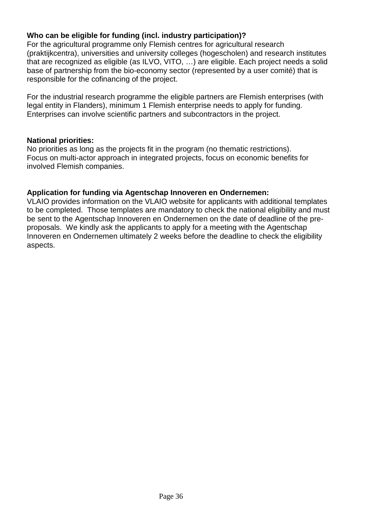### **Who can be eligible for funding (incl. industry participation)?**

For the agricultural programme only Flemish centres for agricultural research (praktijkcentra), universities and university colleges (hogescholen) and research institutes that are recognized as eligible (as ILVO, VITO, …) are eligible. Each project needs a solid base of partnership from the bio-economy sector (represented by a user comité) that is responsible for the cofinancing of the project.

For the industrial research programme the eligible partners are Flemish enterprises (with legal entity in Flanders), minimum 1 Flemish enterprise needs to apply for funding. Enterprises can involve scientific partners and subcontractors in the project.

#### **National priorities:**

No priorities as long as the projects fit in the program (no thematic restrictions). Focus on multi-actor approach in integrated projects, focus on economic benefits for involved Flemish companies.

#### **Application for funding via Agentschap Innoveren en Ondernemen:**

VLAIO provides information on the VLAIO website for applicants with additional templates to be completed. Those templates are mandatory to check the national eligibility and must be sent to the Agentschap Innoveren en Ondernemen on the date of deadline of the preproposals. We kindly ask the applicants to apply for a meeting with the Agentschap Innoveren en Ondernemen ultimately 2 weeks before the deadline to check the eligibility aspects.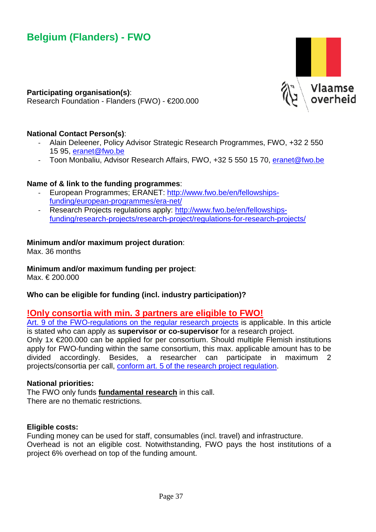

**Participating organisation(s)**: Research Foundation - Flanders (FWO) - €200.000

#### **National Contact Person(s)**:

- Alain Deleener, Policy Advisor Strategic Research Programmes, FWO, +32 2 550 15 95, [eranet@fwo.be](mailto:eranet@fwo.be)
- Toon Monbaliu, Advisor Research Affairs, FWO, +32 5 550 15 70, [eranet@fwo.be](mailto:eranet@fwo.be)

#### **Name of & link to the funding programmes**:

- European Programmes; ERANET: [http://www.fwo.be/en/fellowships](http://www.fwo.be/en/fellowships-funding/european-programmes/era-net/)[funding/european-programmes/era-net/](http://www.fwo.be/en/fellowships-funding/european-programmes/era-net/)
- Research Projects regulations apply: [http://www.fwo.be/en/fellowships](http://www.fwo.be/en/fellowships-funding/research-projects/research-project/regulations-for-research-projects/)[funding/research-projects/research-project/regulations-for-research-projects/](http://www.fwo.be/en/fellowships-funding/research-projects/research-project/regulations-for-research-projects/)

#### **Minimum and/or maximum project duration**:

Max. 36 months

#### **Minimum and/or maximum funding per project**:

Max. € 200.000

#### **Who can be eligible for funding (incl. industry participation)?**

#### **!Only consortia with min. 3 partners are eligible to FWO!**

[Art. 9 of the FWO-regulations on](http://www.fwo.be/en/fellowships-funding/research-projects/research-project/regulations-for-research-projects/) the regular research projects is applicable. In this article is stated who can apply as **supervisor or co-supervisor** for a research project.

Only 1x  $\epsilon$ 200.000 can be applied for per consortium. Should multiple Flemish institutions apply for FWO-funding within the same consortium, this max. applicable amount has to be divided accordingly. Besides, a researcher can participate in maximum 2 projects/consortia per call, [conform art. 5 of the research project regulation.](https://www.fwo.be/nl/mandaten-financiering/onderzoeksprojecten/onderzoeksproject/reglement-inzake-de-onderzoeksprojecten/)

#### **National priorities:**

The FWO only funds **fundamental research** in this call. There are no thematic restrictions.

#### **Eligible costs:**

Funding money can be used for staff, consumables (incl. travel) and infrastructure. Overhead is not an eligible cost. Notwithstanding, FWO pays the host institutions of a project 6% overhead on top of the funding amount.

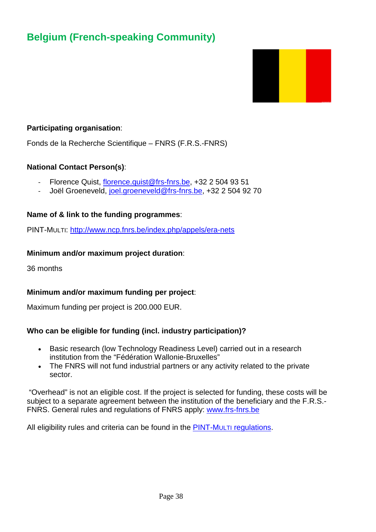## **Belgium (French-speaking Community)**



#### **Participating organisation**:

Fonds de la Recherche Scientifique – FNRS (F.R.S.-FNRS)

#### **National Contact Person(s)**:

- Florence Quist, [florence.quist@frs-fnrs.be,](mailto:florence.quist@frs-fnrs.be) +32 2 504 93 51
- Joël Groeneveld, [joel.groeneveld@frs-fnrs.be,](mailto:joel.groeneveld@frs-fnrs.be) +32 2 504 92 70

#### **Name of & link to the funding programmes**:

PINT-MULTI:<http://www.ncp.fnrs.be/index.php/appels/era-nets>

#### **Minimum and/or maximum project duration**:

36 months

#### **Minimum and/or maximum funding per project**:

Maximum funding per project is 200.000 EUR.

#### **Who can be eligible for funding (incl. industry participation)?**

- Basic research (low Technology Readiness Level) carried out in a research institution from the "Fédération Wallonie-Bruxelles"
- The FNRS will not fund industrial partners or any activity related to the private sector.

"Overhead" is not an eligible cost. If the project is selected for funding, these costs will be subject to a separate agreement between the institution of the beneficiary and the F.R.S.- FNRS. General rules and regulations of FNRS apply: [www.frs-fnrs.be](http://www.frs-fnrs.be/)

All eligibility rules and criteria can be found in the [PINT-MULTI](http://www.fnrs.be/docs/Reglement-et-documents/International/FRS-FNRS_PINT-Multi.pdf) regulations.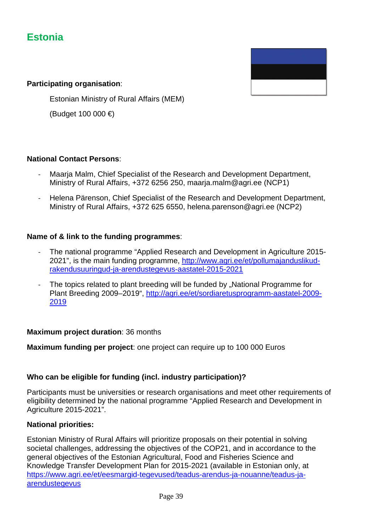## **Estonia**



#### **Participating organisation**:

Estonian Ministry of Rural Affairs (MEM)

(Budget 100 000 €)

#### **National Contact Persons**:

- Maarja Malm, Chief Specialist of the Research and Development Department, Ministry of Rural Affairs, +372 6256 250, maarja.malm@agri.ee (NCP1)
- Helena Pärenson, Chief Specialist of the Research and Development Department, Ministry of Rural Affairs, +372 625 6550, helena.parenson@agri.ee (NCP2)

#### **Name of & link to the funding programmes**:

- The national programme "Applied Research and Development in Agriculture 2015- 2021", is the main funding programme, [http://www.agri.ee/et/pollumajanduslikud](http://www.agri.ee/et/pollumajanduslikud-rakendusuuringud-ja-arendustegevus-aastatel-2015-2021)[rakendusuuringud-ja-arendustegevus-aastatel-2015-2021](http://www.agri.ee/et/pollumajanduslikud-rakendusuuringud-ja-arendustegevus-aastatel-2015-2021)
- The topics related to plant breeding will be funded by "National Programme for Plant Breeding 2009–2019", [http://agri.ee/et/sordiaretusprogramm-aastatel-2009-](http://agri.ee/et/sordiaretusprogramm-aastatel-2009-2019) [2019](http://agri.ee/et/sordiaretusprogramm-aastatel-2009-2019)

#### **Maximum project duration**: 36 months

**Maximum funding per project**: one project can require up to 100 000 Euros

#### **Who can be eligible for funding (incl. industry participation)?**

Participants must be universities or research organisations and meet other requirements of eligibility determined by the national programme "Applied Research and Development in Agriculture 2015-2021".

#### **National priorities:**

Estonian Ministry of Rural Affairs will prioritize proposals on their potential in solving societal challenges, addressing the objectives of the COP21, and in accordance to the general objectives of the Estonian Agricultural, Food and Fisheries Science and Knowledge Transfer Development Plan for 2015-2021 (available in Estonian only, at [https://www.agri.ee/et/eesmargid-tegevused/teadus-arendus-ja-nouanne/teadus-ja](https://www.agri.ee/et/eesmargid-tegevused/teadus-arendus-ja-nouanne/teadus-ja-arendustegevus)[arendustegevus](https://www.agri.ee/et/eesmargid-tegevused/teadus-arendus-ja-nouanne/teadus-ja-arendustegevus)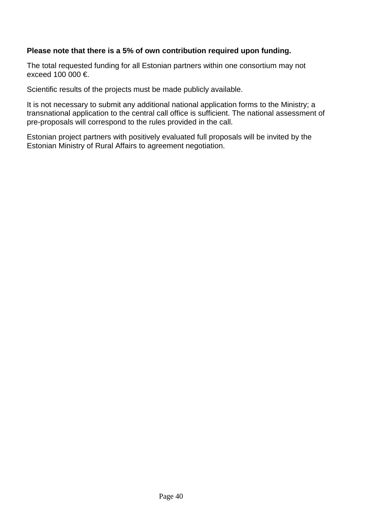#### **Please note that there is a 5% of own contribution required upon funding.**

The total requested funding for all Estonian partners within one consortium may not exceed 100 000  $\epsilon$ 

Scientific results of the projects must be made publicly available.

It is not necessary to submit any additional national application forms to the Ministry; a transnational application to the central call office is sufficient. The national assessment of pre-proposals will correspond to the rules provided in the call.

Estonian project partners with positively evaluated full proposals will be invited by the Estonian Ministry of Rural Affairs to agreement negotiation.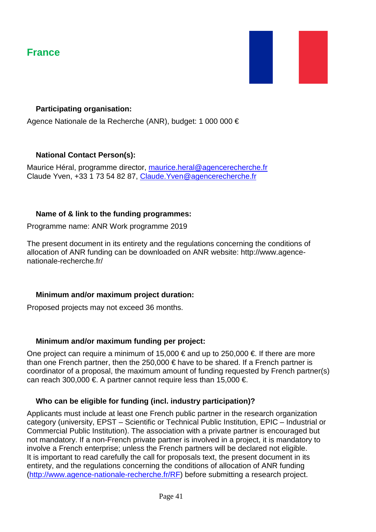## **France**



#### **Participating organisation:**

Agence Nationale de la Recherche (ANR), budget: 1 000 000 €

#### **National Contact Person(s):**

Maurice Héral, programme director, [maurice.heral@agencerecherche.fr](mailto:maurice.heral@agencerecherche.fr) Claude Yven, +33 1 73 54 82 87, [Claude.Yven@agencerecherche.fr](mailto:Claude.Yven@agencerecherche.fr)

#### **Name of & link to the funding programmes:**

Programme name: ANR Work programme 2019

The present document in its entirety and the regulations concerning the conditions of allocation of ANR funding can be downloaded on ANR website: http://www.agencenationale-recherche.fr/

#### **Minimum and/or maximum project duration:**

Proposed projects may not exceed 36 months.

#### **Minimum and/or maximum funding per project:**

One project can require a minimum of 15,000  $\epsilon$  and up to 250,000  $\epsilon$ . If there are more than one French partner, then the 250,000 € have to be shared. If a French partner is coordinator of a proposal, the maximum amount of funding requested by French partner(s) can reach 300,000 €. A partner cannot require less than 15,000 €.

#### **Who can be eligible for funding (incl. industry participation)?**

Applicants must include at least one French public partner in the research organization category (university, EPST – Scientific or Technical Public Institution, EPIC – Industrial or Commercial Public Institution). The association with a private partner is encouraged but not mandatory. If a non-French private partner is involved in a project, it is mandatory to involve a French enterprise; unless the French partners will be declared not eligible. It is important to read carefully the call for proposals text, the present document in its entirety, and the regulations concerning the conditions of allocation of ANR funding [\(http://www.agence-nationale-recherche.fr/RF\)](http://www.agence-nationale-recherche.fr/RF) before submitting a research project.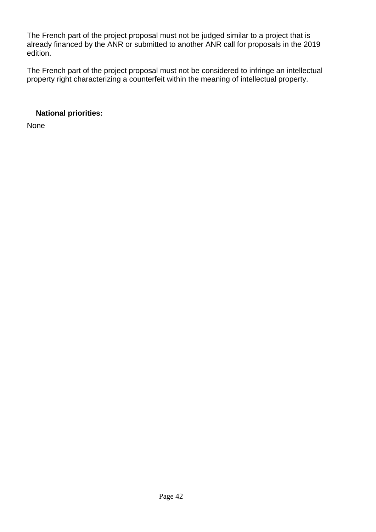The French part of the project proposal must not be judged similar to a project that is already financed by the ANR or submitted to another ANR call for proposals in the 2019 edition.

The French part of the project proposal must not be considered to infringe an intellectual property right characterizing a counterfeit within the meaning of intellectual property.

### **National priorities:**

None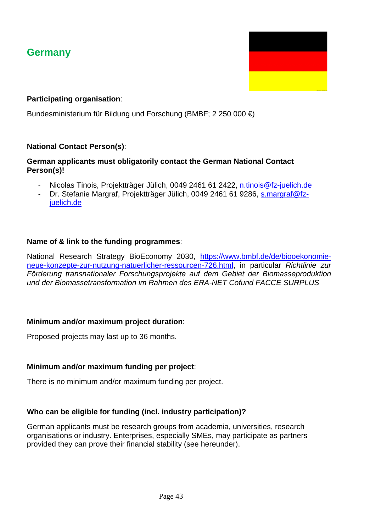## **Germany**



Bundesministerium für Bildung und Forschung (BMBF; 2 250 000 €)

#### **National Contact Person(s)**:

#### **German applicants must obligatorily contact the German National Contact Person(s)!**

- Nicolas Tinois, Projektträger Jülich, 0049 2461 61 2422, [n.tinois@fz-juelich.de](mailto:n.tinois@fz-juelich.de)
- Dr. Stefanie Margraf, Projektträger Jülich, 0049 2461 61 9286, [s.margraf@fz](mailto:s.margraf@fz-juelich.de)[juelich.de](mailto:s.margraf@fz-juelich.de)

#### **Name of & link to the funding programmes**:

National Research Strategy BioEconomy 2030, [https://www.bmbf.de/de/biooekonomie](https://www.bmbf.de/de/biooekonomie-neue-konzepte-zur-nutzung-natuerlicher-ressourcen-726.html)[neue-konzepte-zur-nutzung-natuerlicher-ressourcen-726.html,](https://www.bmbf.de/de/biooekonomie-neue-konzepte-zur-nutzung-natuerlicher-ressourcen-726.html) in particular *Richtlinie zur Förderung transnationaler Forschungsprojekte auf dem Gebiet der Biomasseproduktion und der Biomassetransformation im Rahmen des ERA-NET Cofund FACCE SURPLUS*

#### **Minimum and/or maximum project duration**:

Proposed projects may last up to 36 months.

#### **Minimum and/or maximum funding per project**:

There is no minimum and/or maximum funding per project.

#### **Who can be eligible for funding (incl. industry participation)?**

German applicants must be research groups from academia, universities, research organisations or industry. Enterprises, especially SMEs, may participate as partners provided they can prove their financial stability (see hereunder).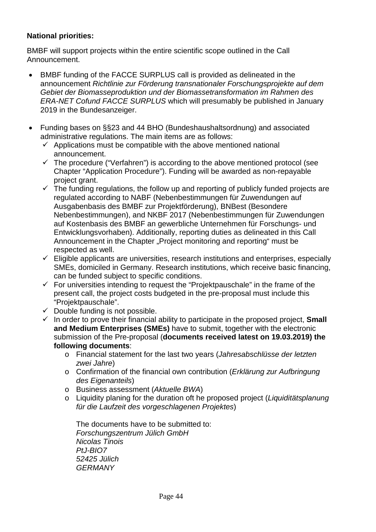#### **National priorities:**

BMBF will support projects within the entire scientific scope outlined in the Call Announcement.

- BMBF funding of the FACCE SURPLUS call is provided as delineated in the announcement *Richtlinie zur Förderung transnationaler Forschungsprojekte auf dem Gebiet der Biomasseproduktion und der Biomassetransformation im Rahmen des ERA-NET Cofund FACCE SURPLUS* which will presumably be published in January 2019 in the Bundesanzeiger.
- Funding bases on §§23 and 44 BHO (Bundeshaushaltsordnung) and associated administrative regulations. The main items are as follows:
	- $\checkmark$  Applications must be compatible with the above mentioned national announcement.
	- $\checkmark$  The procedure ("Verfahren") is according to the above mentioned protocol (see Chapter "Application Procedure"). Funding will be awarded as non-repayable project grant.
	- $\checkmark$  The funding regulations, the follow up and reporting of publicly funded projects are regulated according to NABF (Nebenbestimmungen für Zuwendungen auf Ausgabenbasis des BMBF zur Projektförderung), BNBest (Besondere Nebenbestimmungen), and NKBF 2017 (Nebenbestimmungen für Zuwendungen auf Kostenbasis des BMBF an gewerbliche Unternehmen für Forschungs- und Entwicklungsvorhaben). Additionally, reporting duties as delineated in this Call Announcement in the Chapter "Project monitoring and reporting" must be respected as well.
	- $\checkmark$  Eligible applicants are universities, research institutions and enterprises, especially SMEs, domiciled in Germany. Research institutions, which receive basic financing, can be funded subject to specific conditions.
	- $\checkmark$  For universities intending to request the "Projektpauschale" in the frame of the present call, the project costs budgeted in the pre-proposal must include this "Projektpauschale".
	- $\checkmark$  Double funding is not possible.
	- $\checkmark$  In order to prove their financial ability to participate in the proposed project, **Small and Medium Enterprises (SMEs)** have to submit, together with the electronic submission of the Pre-proposal (**documents received latest on 19.03.2019) the following documents**:
		- o Financial statement for the last two years (*Jahresabschlüsse der letzten zwei Jahre*)
		- o Confirmation of the financial own contribution (*Erklärung zur Aufbringung des Eigenanteils*)
		- o Business assessment (*Aktuelle BWA*)
		- o Liquidity planing for the duration oft he proposed project (*Liquiditätsplanung für die Laufzeit des vorgeschlagenen Projektes*)

The documents have to be submitted to: *Forschungszentrum Jülich GmbH Nicolas Tinois PtJ-BIO7 52425 Jülich GERMANY*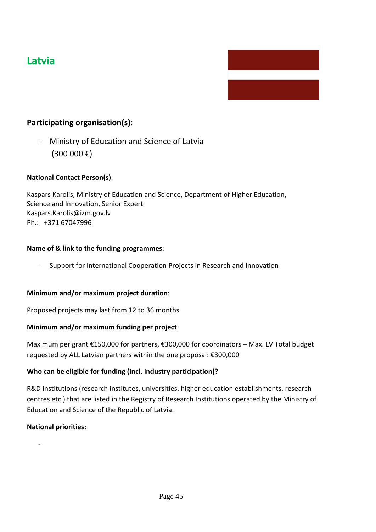## **Latvia**

#### **Participating organisation(s)**:

Ministry of Education and Science of Latvia (300 000 €)

#### **National Contact Person(s)**:

Kaspars Karolis, Ministry of Education and Science, Department of Higher Education, Science and Innovation, Senior Expert [Kaspars.Karolis@izm.gov.lv](mailto:Kaspars.Karolis@izm.gov.lv) Ph.: +371 67047996

#### **Name of & link to the funding programmes**:

- Support for International Cooperation Projects in Research and Innovation

#### **Minimum and/or maximum project duration**:

Proposed projects may last from 12 to 36 months

#### **Minimum and/or maximum funding per project**:

Maximum per grant €150,000 for partners, €300,000 for coordinators – Max. LV Total budget requested by ALL Latvian partners within the one proposal: €300,000

#### **Who can be eligible for funding (incl. industry participation)?**

R&D institutions (research institutes, universities, higher education establishments, research centres etc.) that are listed in the Registry of Research Institutions operated by the Ministry of Education and Science of the Republic of Latvia.

#### **National priorities:**

-

Page 45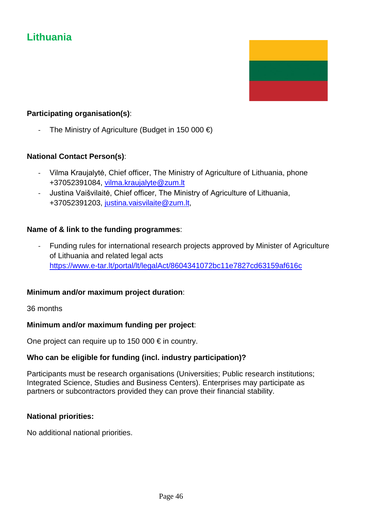## **Lithuania**



#### **Participating organisation(s)**:

The Ministry of Agriculture (Budget in 150 000  $\in$ )

#### **National Contact Person(s)**:

- Vilma Kraujalytė, Chief officer, The Ministry of Agriculture of Lithuania, phone +37052391084, [vilma.kraujalyte@zum.lt](mailto:vilma.kraujalyte@zum.lt)
- Justina Vaišvilaitė, Chief officer, The Ministry of Agriculture of Lithuania, +37052391203, [justina.vaisvilaite@zum.lt,](mailto:justina.vaisvilaite@zum.lt)

#### **Name of & link to the funding programmes**:

- Funding rules for international research projects approved by Minister of Agriculture of Lithuania and related legal acts <https://www.e-tar.lt/portal/lt/legalAct/8604341072bc11e7827cd63159af616c>

#### **Minimum and/or maximum project duration**:

36 months

#### **Minimum and/or maximum funding per project**:

One project can require up to 150 000  $\epsilon$  in country.

#### **Who can be eligible for funding (incl. industry participation)?**

Participants must be research organisations (Universities; Public research institutions; Integrated Science, Studies and Business Centers). Enterprises may participate as partners or subcontractors provided they can prove their financial stability.

#### **National priorities:**

No additional national priorities.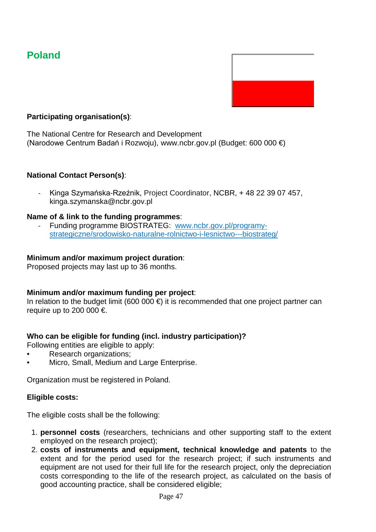## **Poland**



#### **Participating organisation(s)**:

The National Centre for Research and Development (Narodowe Centrum Badań i Rozwoju), www.ncbr.gov.pl (Budget: 600 000 €)

#### **National Contact Person(s)**:

- Kinga Szymańska-Rzeźnik, Project Coordinator, NCBR, + 48 22 39 07 457, kinga.szymanska@ncbr.gov.pl

#### **Name of & link to the funding programmes**:

- Funding programme BIOSTRATEG: www.ncbr.gov.pl/programystrategiczne/srodowisko-naturalne-rolnictwo-i-lesnictwo---biostrateg/

#### **Minimum and/or maximum project duration**:

Proposed projects may last up to 36 months.

#### **Minimum and/or maximum funding per project**:

In relation to the budget limit (600 000  $\epsilon$ ) it is recommended that one project partner can require up to 200 000  $\in$ 

#### **Who can be eligible for funding (incl. industry participation)?**

Following entities are eligible to apply:

- Research organizations;
- Micro, Small, Medium and Large Enterprise.

Organization must be registered in Poland.

#### **Eligible costs:**

The eligible costs shall be the following:

- 1. **personnel costs** (researchers, technicians and other supporting staff to the extent employed on the research project);
- 2. **costs of instruments and equipment, technical knowledge and patents** to the extent and for the period used for the research project; if such instruments and equipment are not used for their full life for the research project, only the depreciation costs corresponding to the life of the research project, as calculated on the basis of good accounting practice, shall be considered eligible;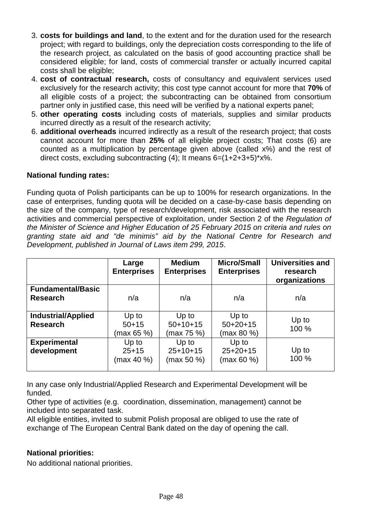- 3. **costs for buildings and land**, to the extent and for the duration used for the research project; with regard to buildings, only the depreciation costs corresponding to the life of the research project, as calculated on the basis of good accounting practice shall be considered eligible; for land, costs of commercial transfer or actually incurred capital costs shall be eligible;
- 4. **cost of contractual research,** costs of consultancy and equivalent services used exclusively for the research activity; this cost type cannot account for more that **70%** of all eligible costs of a project; the subcontracting can be obtained from consortium partner only in justified case, this need will be verified by a national experts panel;
- 5. **other operating costs** including costs of materials, supplies and similar products incurred directly as a result of the research activity;
- 6. **additional overheads** incurred indirectly as a result of the research project; that costs cannot account for more than **25%** of all eligible project costs; That costs (6) are counted as a multiplication by percentage given above (called x%) and the rest of direct costs, excluding subcontracting  $(4)$ ; It means  $6=(1+2+3+5)*x$ %.

#### **National funding rates:**

Funding quota of Polish participants can be up to 100% for research organizations. In the case of enterprises, funding quota will be decided on a case-by-case basis depending on the size of the company, type of research/development, risk associated with the research activities and commercial perspective of exploitation, under Section 2 of the *Regulation of the Minister of Science and Higher Education of 25 February 2015 on criteria and rules on granting state aid and "de minimis" aid by the National Centre for Research and Development, published in Journal of Laws item 299, 2015*.

|                                              | Large<br><b>Enterprises</b>      | <b>Medium</b><br><b>Enterprises</b> | <b>Micro/Small</b><br><b>Enterprises</b> | <b>Universities and</b><br>research<br>organizations |
|----------------------------------------------|----------------------------------|-------------------------------------|------------------------------------------|------------------------------------------------------|
| <b>Fundamental/Basic</b><br><b>Research</b>  | n/a                              | n/a                                 | n/a                                      | n/a                                                  |
| <b>Industrial/Applied</b><br><b>Research</b> | Up to<br>$50+15$<br>(max 65 %)   | Up to<br>$50+10+15$<br>(max 75 %)   | Up to<br>$50+20+15$<br>(max 80 %)        | Up to<br>100 %                                       |
| <b>Experimental</b><br>development           | Up to<br>$25 + 15$<br>(max 40 %) | Up to<br>$25+10+15$<br>(max 50 %)   | Up to<br>$25+20+15$<br>(max 60 %         | Up to<br>100 %                                       |

In any case only Industrial/Applied Research and Experimental Development will be funded.

Other type of activities (e.g. coordination, dissemination, management) cannot be included into separated task.

All eligible entities, invited to submit Polish proposal are obliged to use the rate of exchange of The European Central Bank dated on the day of opening the call.

#### **National priorities:**

No additional national priorities.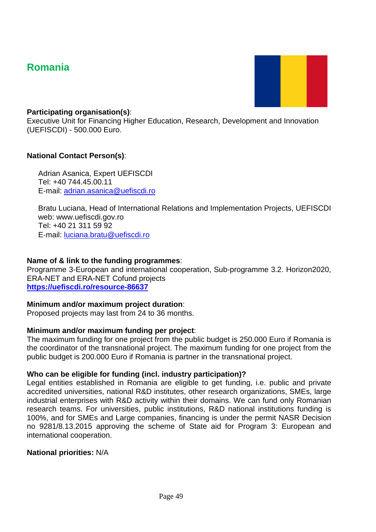## **Romania**



#### **Participating organisation(s)**:

Executive Unit for Financing Higher Education, Research, Development and Innovation (UEFISCDI) - 500.000 Euro.

#### **National Contact Person(s)**:

Adrian Asanica, Expert UEFISCDI Tel: +40 744.45.00.11 E‐mail: [adrian.asanica@uefiscdi.ro](mailto:adrian.asanica@uefiscdi.ro)

Bratu Luciana, Head of International Relations and Implementation Projects, UEFISCDI web: www.uefiscdi.gov.ro Tel: +40 21 311 59 92 E‐mail: [luciana.bratu@uefiscdi.ro](mailto:luciana.bratu@uefiscdi.ro)

#### **Name of & link to the funding programmes**:

Programme 3-European and international cooperation, Sub-programme 3.2. Horizon2020, ERA-NET and ERA-NET Cofund projects **<https://uefiscdi.ro/resource-86637>**

#### **Minimum and/or maximum project duration**:

Proposed projects may last from 24 to 36 months.

#### **Minimum and/or maximum funding per project**:

The maximum funding for one project from the public budget is 250.000 Euro if Romania is the coordinator of the transnational project. The maximum funding for one project from the public budget is 200.000 Euro if Romania is partner in the transnational project.

#### **Who can be eligible for funding (incl. industry participation)?**

Legal entities established in Romania are eligible to get funding, i.e. public and private accredited universities, national R&D institutes, other research organizations, SMEs, large industrial enterprises with R&D activity within their domains. We can fund only Romanian research teams. For universities, public institutions, R&D national institutions funding is 100%, and for SMEs and Large companies, financing is under the permit NASR Decision no 9281/8.13.2015 approving the scheme of State aid for Program 3: European and international cooperation.

#### **National priorities:** N/A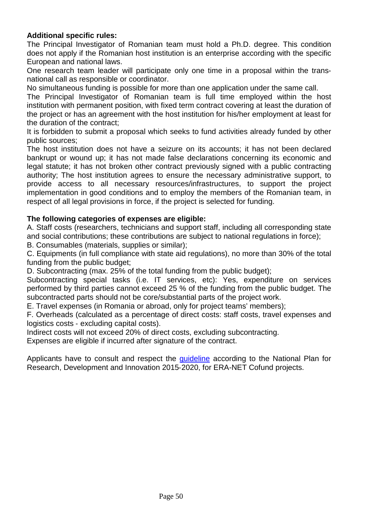#### **Additional specific rules:**

The Principal Investigator of Romanian team must hold a Ph.D. degree. This condition does not apply if the Romanian host institution is an enterprise according with the specific European and national laws.

One research team leader will participate only one time in a proposal within the transnational call as responsible or coordinator.

No simultaneous funding is possible for more than one application under the same call.

The Principal Investigator of Romanian team is full time employed within the host institution with permanent position, with fixed term contract covering at least the duration of the project or has an agreement with the host institution for his/her employment at least for the duration of the contract;

It is forbidden to submit a proposal which seeks to fund activities already funded by other public sources;

The host institution does not have a seizure on its accounts; it has not been declared bankrupt or wound up; it has not made false declarations concerning its economic and legal statute; it has not broken other contract previously signed with a public contracting authority; The host institution agrees to ensure the necessary administrative support, to provide access to all necessary resources/infrastructures, to support the project implementation in good conditions and to employ the members of the Romanian team, in respect of all legal provisions in force, if the project is selected for funding.

#### **The following categories of expenses are eligible:**

A. Staff costs (researchers, technicians and support staff, including all corresponding state and social contributions; these contributions are subject to national regulations in force);

B. Consumables (materials, supplies or similar);

C. Equipments (in full compliance with state aid regulations), no more than 30% of the total funding from the public budget;

D. Subcontracting (max. 25% of the total funding from the public budget);

Subcontracting special tasks (i.e. IT services, etc): Yes, expenditure on services performed by third parties cannot exceed 25 % of the funding from the public budget. The subcontracted parts should not be core/substantial parts of the project work.

E. Travel expenses (in Romania or abroad, only for project teams' members);

F. Overheads (calculated as a percentage of direct costs: staff costs, travel expenses and logistics costs ‐ excluding capital costs).

Indirect costs will not exceed 20% of direct costs, excluding subcontracting.

Expenses are eligible if incurred after signature of the contract.

Applicants have to consult and respect the [guideline](https://uefiscdi.ro/resource-86637) according to the National Plan for Research, Development and Innovation 2015‐2020, for ERA-NET Cofund projects.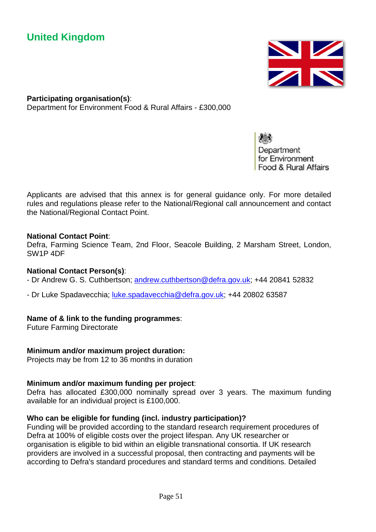## **United Kingdom**



**Participating organisation(s)**: Department for Environment Food & Rural Affairs - £300,000

> Department for Environment Food & Rural Affairs

 Applicants are advised that this annex is for general guidance only. For more detailed rules and regulations please refer to the National/Regional call announcement and contact the National/Regional Contact Point.

#### **National Contact Point**:

Defra, Farming Science Team, 2nd Floor, Seacole Building, 2 Marsham Street, London, SW1P 4DF

#### **National Contact Person(s)**:

- Dr Andrew G. S. Cuthbertson; [andrew.cuthbertson@defra.gov.uk;](mailto:andrew.cuthbertson@defra.gov.uk) +44 20841 52832

- Dr Luke Spadavecchia; [luke.spadavecchia@defra.gov.uk;](mailto:luke.spadavecchia@defra.gov.uk) +44 20802 63587

#### **Name of & link to the funding programmes**:

Future Farming Directorate

#### **Minimum and/or maximum project duration:**

Projects may be from 12 to 36 months in duration

#### **Minimum and/or maximum funding per project**:

Defra has allocated £300,000 nominally spread over 3 years. The maximum funding available for an individual project is £100,000.

#### **Who can be eligible for funding (incl. industry participation)?**

Funding will be provided according to the standard research requirement procedures of Defra at 100% of eligible costs over the project lifespan. Any UK researcher or organisation is eligible to bid within an eligible transnational consortia. If UK research providers are involved in a successful proposal, then contracting and payments will be according to Defra's standard procedures and standard terms and conditions. Detailed